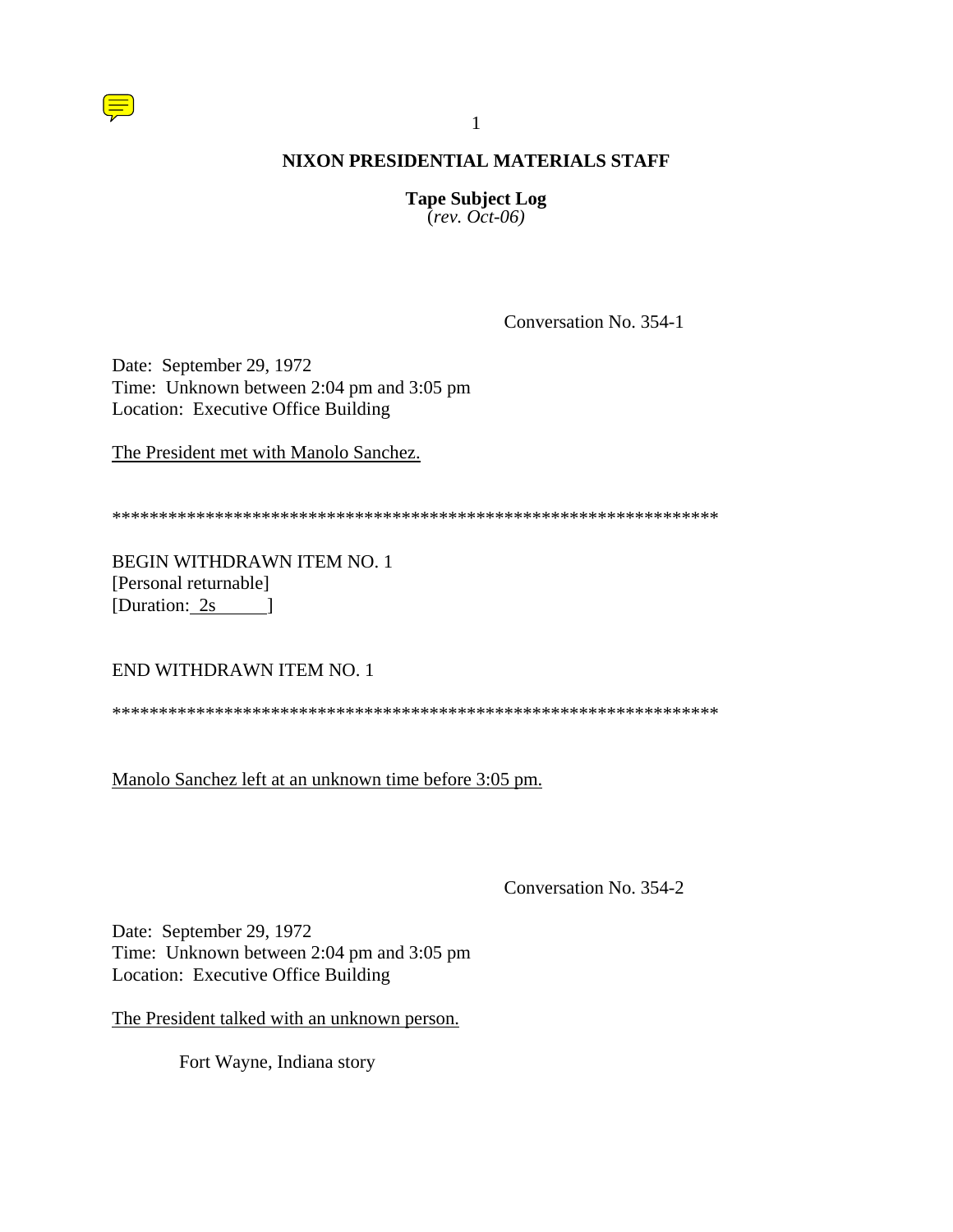

**Tape Subject Log**  $\text{(\textit{rev. Oct-06})}$ 

Conversation No. 354-1

Date: September 29, 1972 Time: Unknown between 2:04 pm and 3:05 pm Location: Executive Office Building

The President met with Manolo Sanchez.

BEGIN WITHDRAWN ITEM NO. 1 [Personal returnable] [Duration:  $2s$ ]

END WITHDRAWN ITEM NO. 1

Manolo Sanchez left at an unknown time before 3:05 pm.

Conversation No. 354-2

Date: September 29, 1972 Time: Unknown between 2:04 pm and 3:05 pm Location: Executive Office Building

The President talked with an unknown person.

Fort Wayne, Indiana story

 $\mathbf{1}$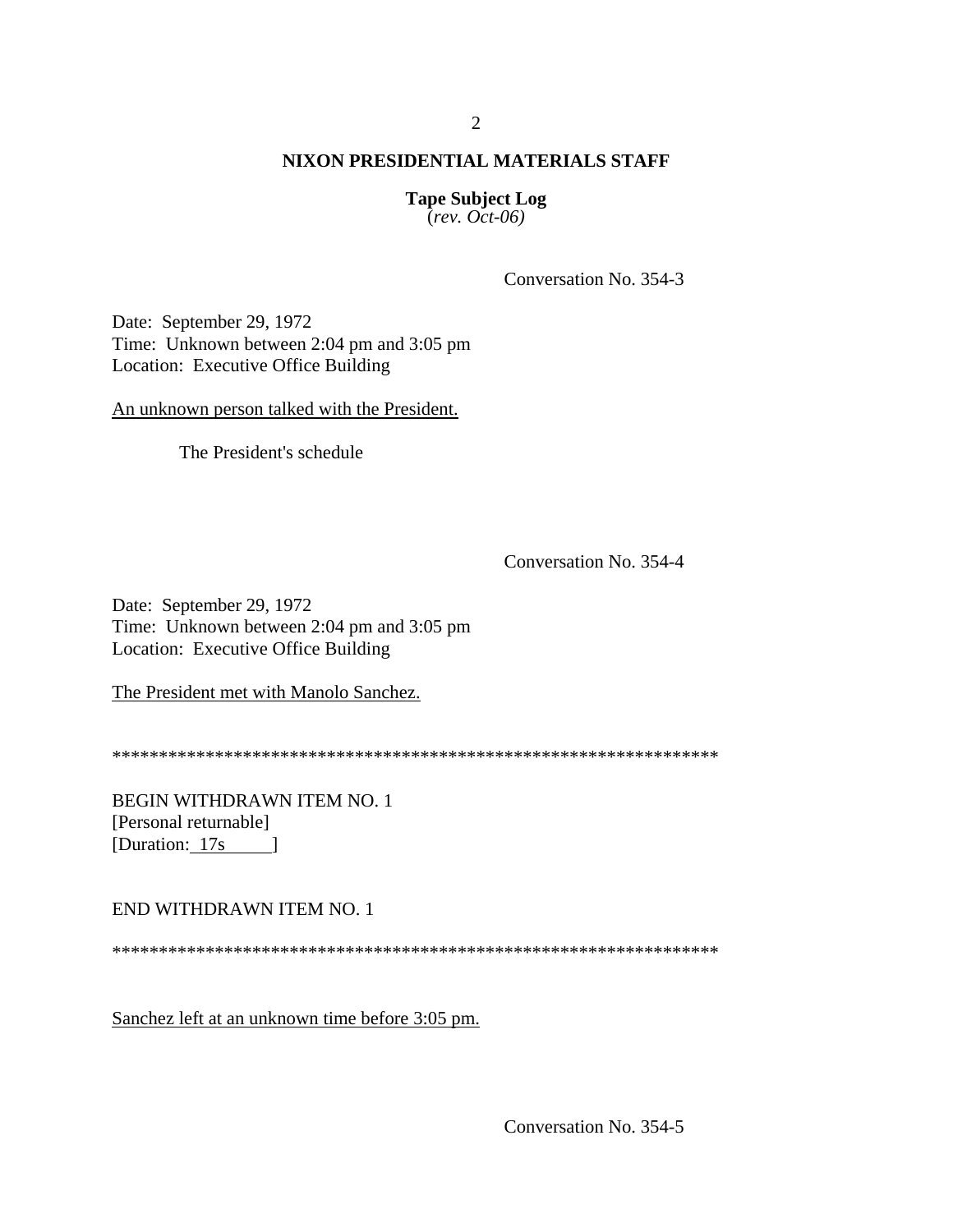**Tape Subject Log**  $\text{(\textit{rev. Oct-06})}$ 

Conversation No. 354-3

Date: September 29, 1972 Time: Unknown between 2:04 pm and 3:05 pm Location: Executive Office Building

An unknown person talked with the President.

The President's schedule

Conversation No. 354-4

Date: September 29, 1972 Time: Unknown between 2:04 pm and 3:05 pm Location: Executive Office Building

The President met with Manolo Sanchez.

**BEGIN WITHDRAWN ITEM NO. 1** [Personal returnable] [Duration:  $17s$  ]

END WITHDRAWN ITEM NO. 1

Sanchez left at an unknown time before 3:05 pm.

Conversation No. 354-5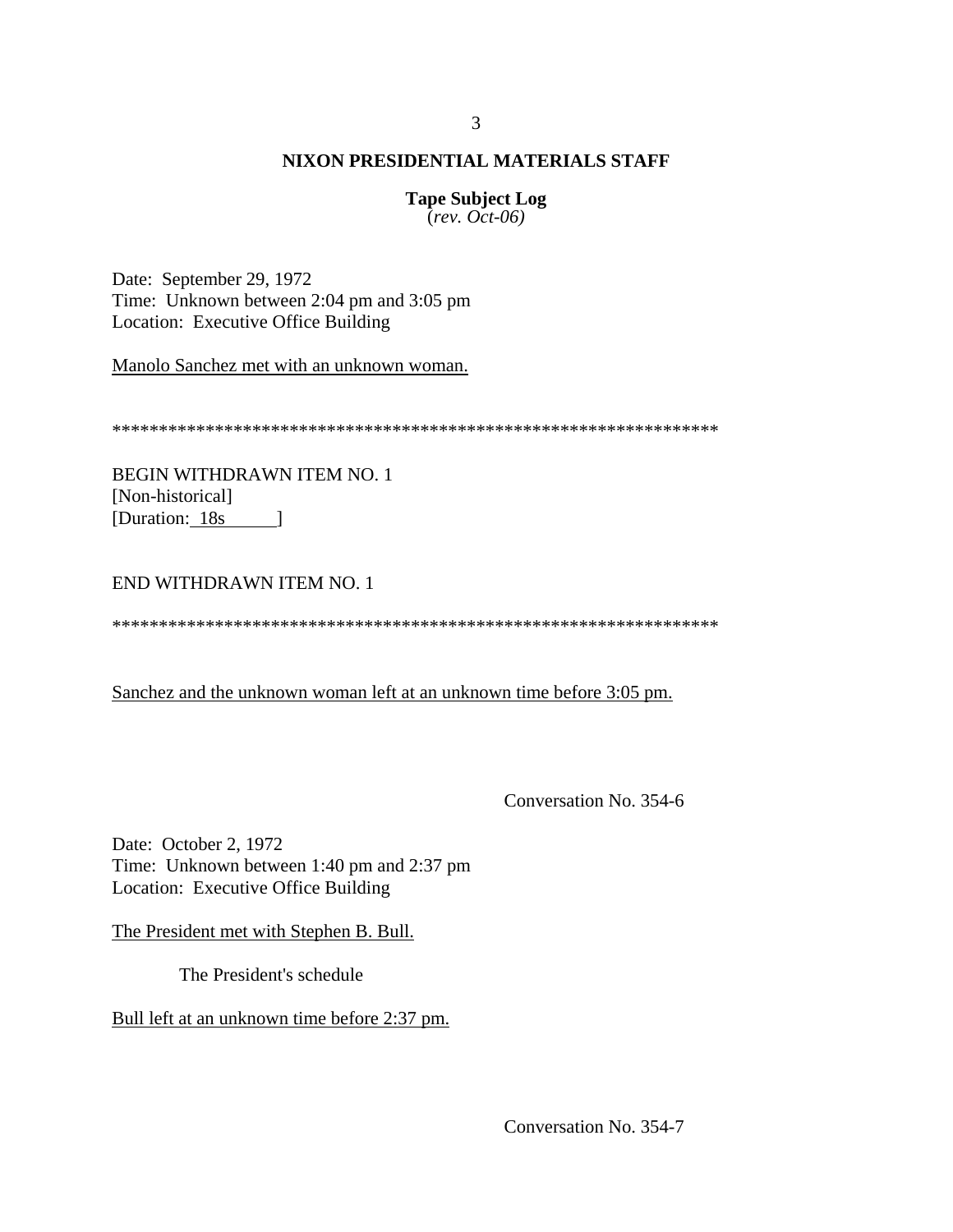**Tape Subject Log** (*rev. Oct-06)*

Date: September 29, 1972 Time: Unknown between 2:04 pm and 3:05 pm Location: Executive Office Building

Manolo Sanchez met with an unknown woman.

\*\*\*\*\*\*\*\*\*\*\*\*\*\*\*\*\*\*\*\*\*\*\*\*\*\*\*\*\*\*\*\*\*\*\*\*\*\*\*\*\*\*\*\*\*\*\*\*\*\*\*\*\*\*\*\*\*\*\*\*\*\*\*\*\*

BEGIN WITHDRAWN ITEM NO. 1 [Non-historical] [Duration: 18s ]

END WITHDRAWN ITEM NO. 1

\*\*\*\*\*\*\*\*\*\*\*\*\*\*\*\*\*\*\*\*\*\*\*\*\*\*\*\*\*\*\*\*\*\*\*\*\*\*\*\*\*\*\*\*\*\*\*\*\*\*\*\*\*\*\*\*\*\*\*\*\*\*\*\*\*

Sanchez and the unknown woman left at an unknown time before 3:05 pm.

Conversation No. 354-6

Date: October 2, 1972 Time: Unknown between 1:40 pm and 2:37 pm Location: Executive Office Building

The President met with Stephen B. Bull.

The President's schedule

Bull left at an unknown time before 2:37 pm.

Conversation No. 354-7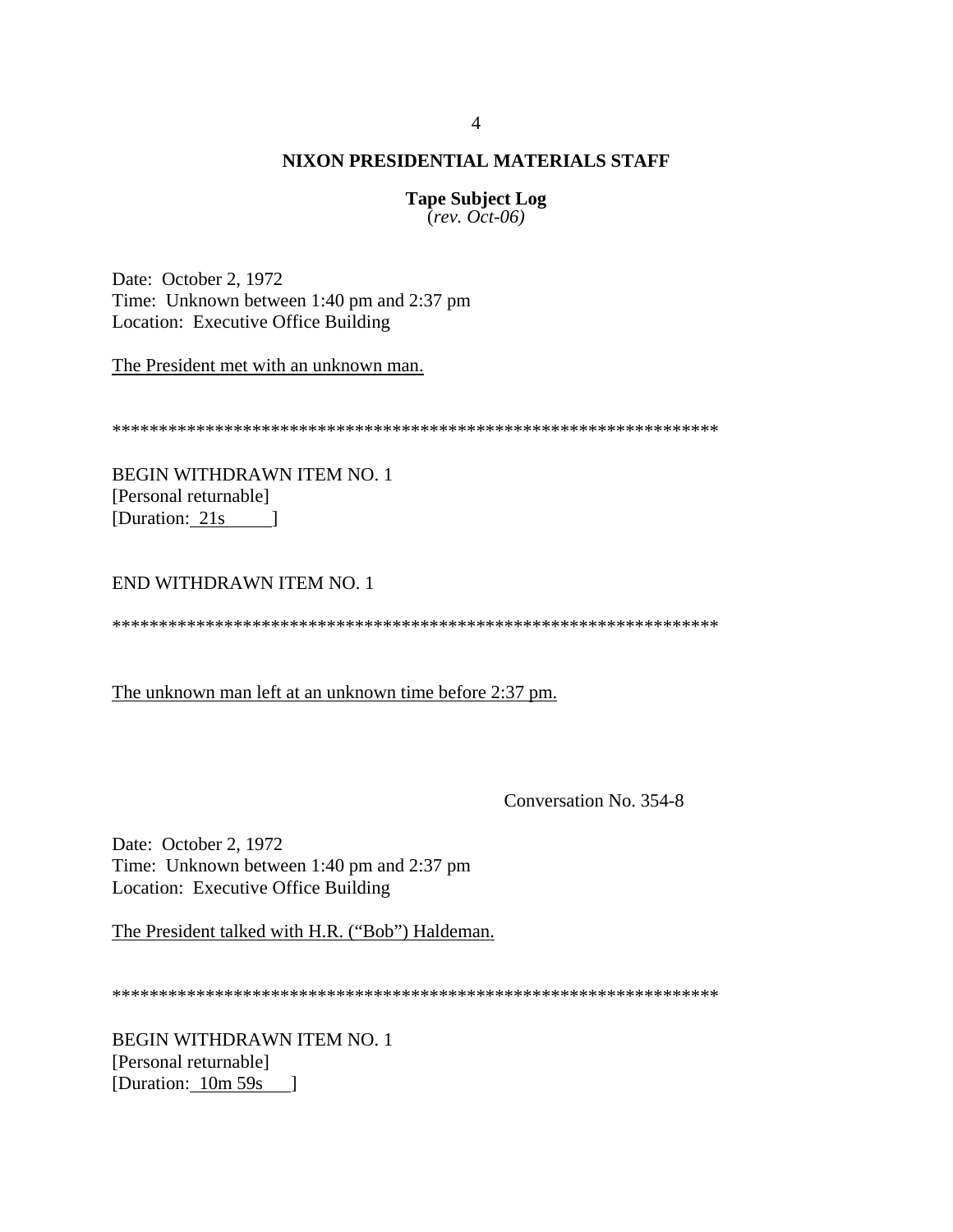**Tape Subject Log**  $\overline{(rev. Oct-06)}$ 

Date: October 2, 1972 Time: Unknown between 1:40 pm and 2:37 pm Location: Executive Office Building

The President met with an unknown man.

**BEGIN WITHDRAWN ITEM NO. 1** [Personal returnable] [Duration: 21s ]

END WITHDRAWN ITEM NO. 1

The unknown man left at an unknown time before 2:37 pm.

Conversation No. 354-8

Date: October 2, 1972 Time: Unknown between 1:40 pm and 2:37 pm Location: Executive Office Building

The President talked with H.R. ("Bob") Haldeman.

**BEGIN WITHDRAWN ITEM NO. 1** [Personal returnable] [Duration: 10m 59s ]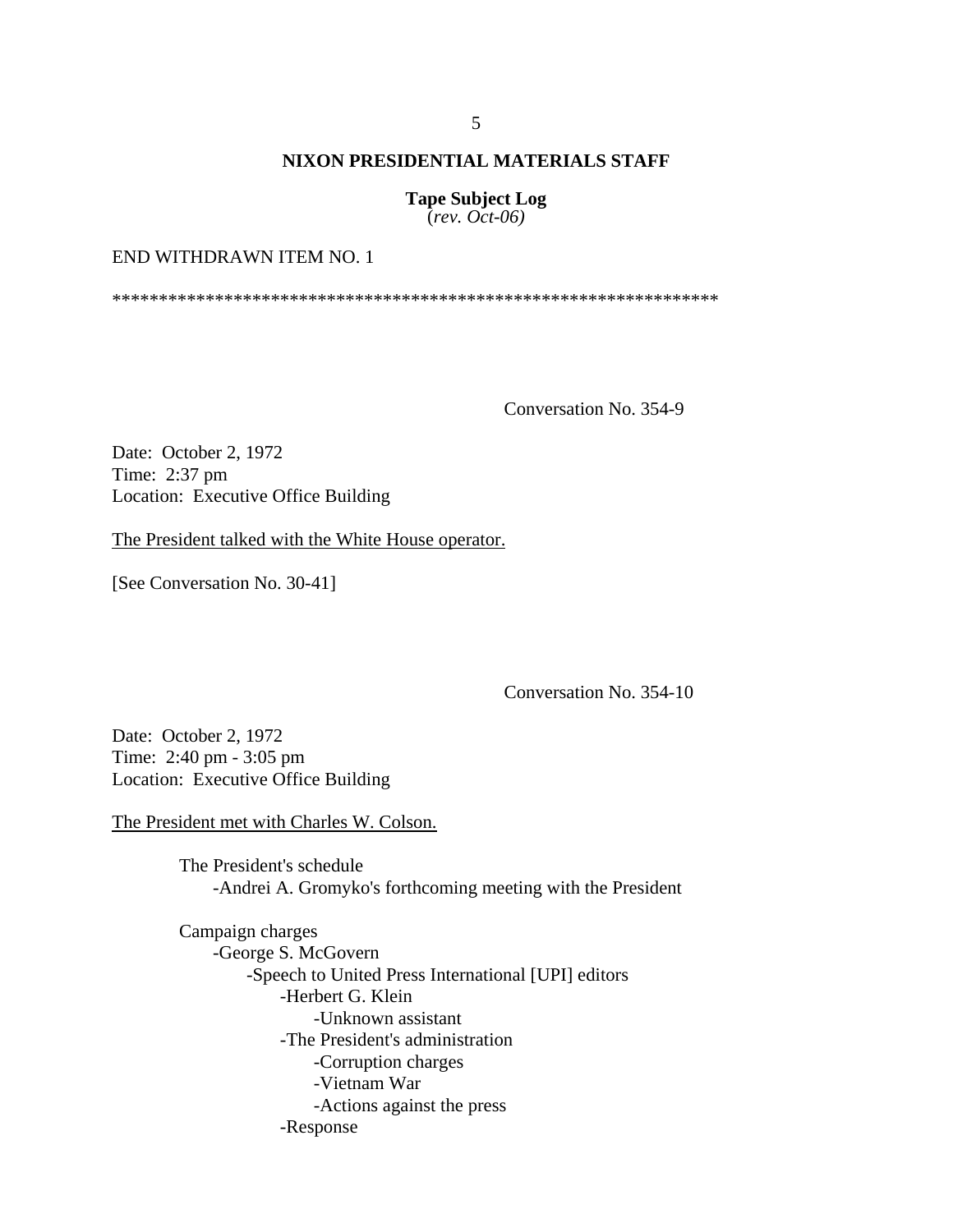**Tape Subject Log** (*rev. Oct-06)*

## END WITHDRAWN ITEM NO. 1

\*\*\*\*\*\*\*\*\*\*\*\*\*\*\*\*\*\*\*\*\*\*\*\*\*\*\*\*\*\*\*\*\*\*\*\*\*\*\*\*\*\*\*\*\*\*\*\*\*\*\*\*\*\*\*\*\*\*\*\*\*\*\*\*\*

Conversation No. 354-9

Date: October 2, 1972 Time: 2:37 pm Location: Executive Office Building

The President talked with the White House operator.

[See Conversation No. 30-41]

Conversation No. 354-10

Date: October 2, 1972 Time: 2:40 pm - 3:05 pm Location: Executive Office Building

The President met with Charles W. Colson.

The President's schedule -Andrei A. Gromyko's forthcoming meeting with the President

Campaign charges -George S. McGovern -Speech to United Press International [UPI] editors -Herbert G. Klein -Unknown assistant -The President's administration -Corruption charges -Vietnam War -Actions against the press -Response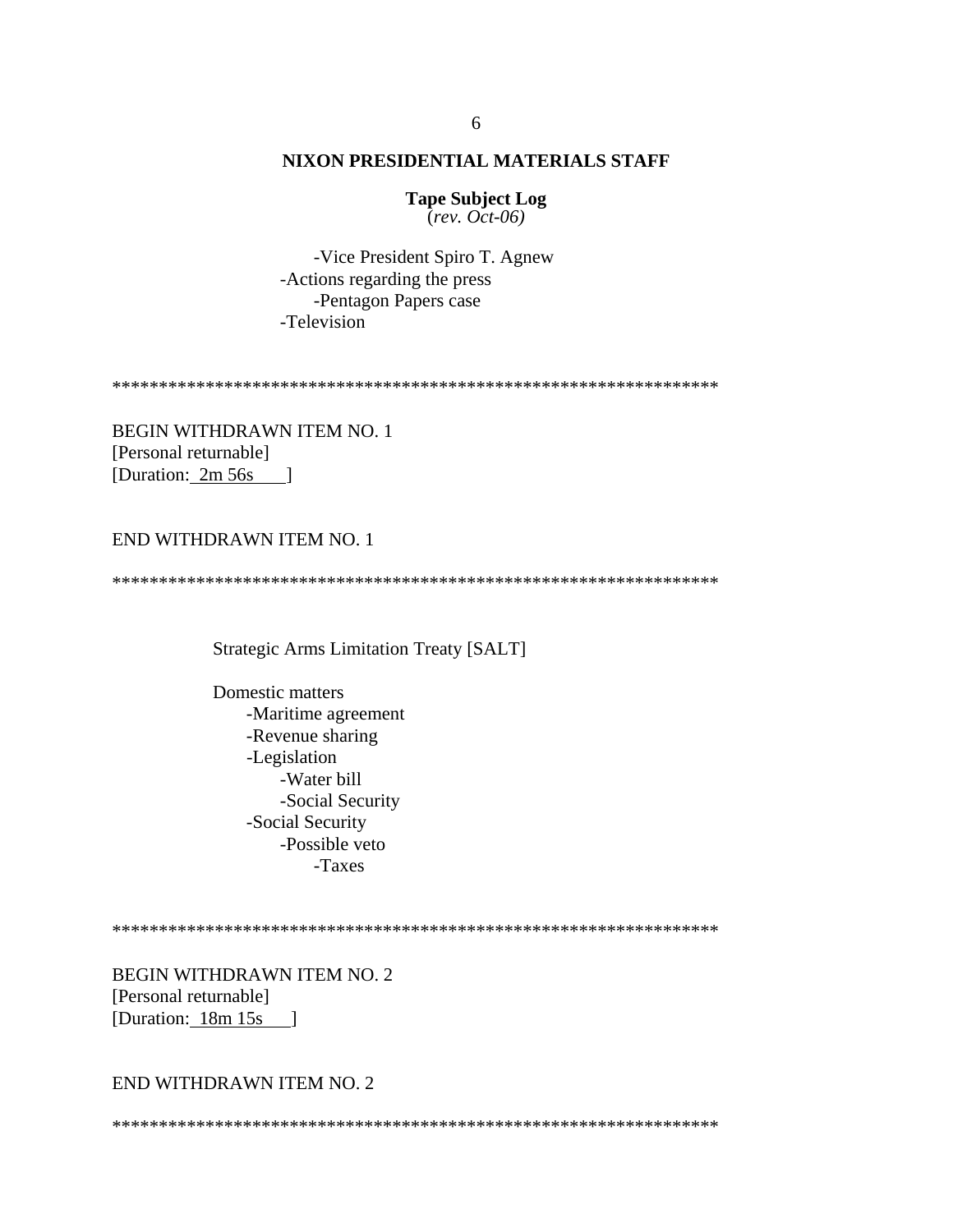**Tape Subject Log**  $\overline{(rev. Oct-06)}$ 

-Vice President Spiro T. Agnew -Actions regarding the press -Pentagon Papers case -Television

**BEGIN WITHDRAWN ITEM NO. 1** [Personal returnable] [Duration:  $2m 56s$  ]

## END WITHDRAWN ITEM NO. 1

**Strategic Arms Limitation Treaty [SALT]** 

Domestic matters -Maritime agreement -Revenue sharing -Legislation -Water bill -Social Security -Social Security -Possible veto -Taxes

BEGIN WITHDRAWN ITEM NO. 2 [Personal returnable] [Duration:  $18m 15s$ ]

### END WITHDRAWN ITEM NO. 2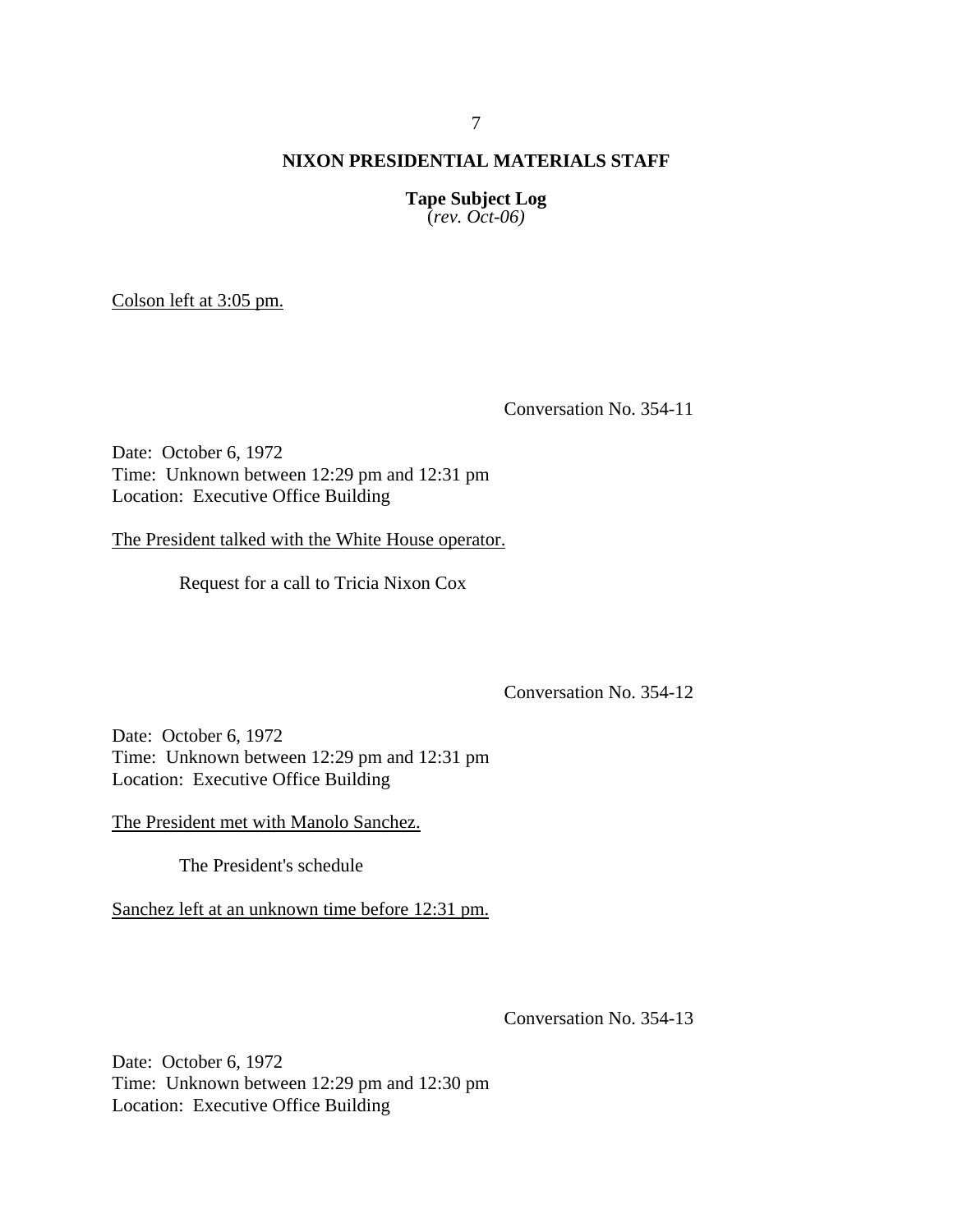**Tape Subject Log** (*rev. Oct-06)*

Colson left at 3:05 pm.

Conversation No. 354-11

Date: October 6, 1972 Time: Unknown between 12:29 pm and 12:31 pm Location: Executive Office Building

The President talked with the White House operator.

Request for a call to Tricia Nixon Cox

Conversation No. 354-12

Date: October 6, 1972 Time: Unknown between 12:29 pm and 12:31 pm Location: Executive Office Building

The President met with Manolo Sanchez.

The President's schedule

Sanchez left at an unknown time before 12:31 pm.

Conversation No. 354-13

Date: October 6, 1972 Time: Unknown between 12:29 pm and 12:30 pm Location: Executive Office Building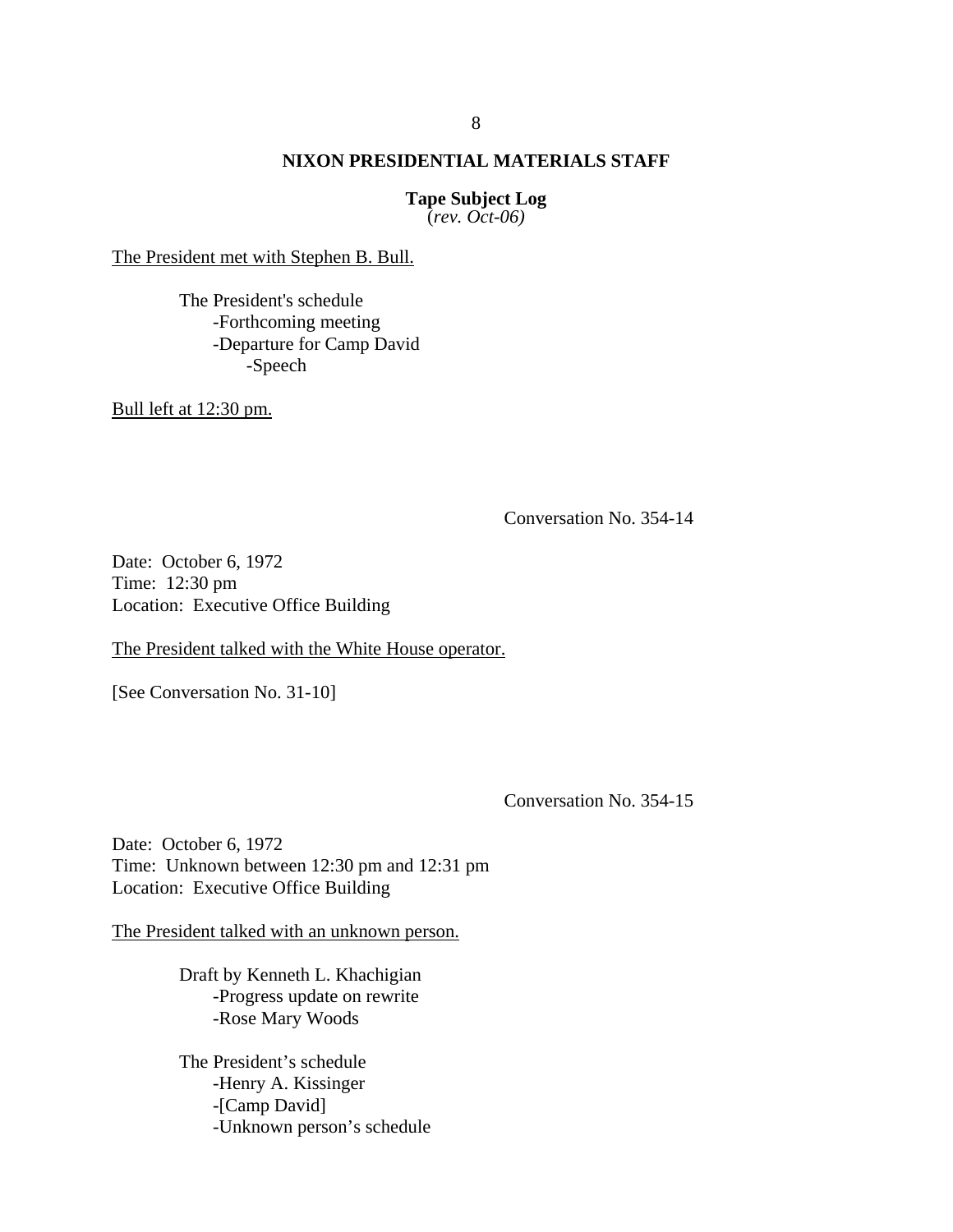**Tape Subject Log** (*rev. Oct-06)*

The President met with Stephen B. Bull.

The President's schedule -Forthcoming meeting -Departure for Camp David -Speech

Bull left at 12:30 pm.

Conversation No. 354-14

Date: October 6, 1972 Time: 12:30 pm Location: Executive Office Building

The President talked with the White House operator.

[See Conversation No. 31-10]

Conversation No. 354-15

Date: October 6, 1972 Time: Unknown between 12:30 pm and 12:31 pm Location: Executive Office Building

The President talked with an unknown person.

Draft by Kenneth L. Khachigian -Progress update on rewrite -Rose Mary Woods

 The President's schedule -Henry A. Kissinger -[Camp David] -Unknown person's schedule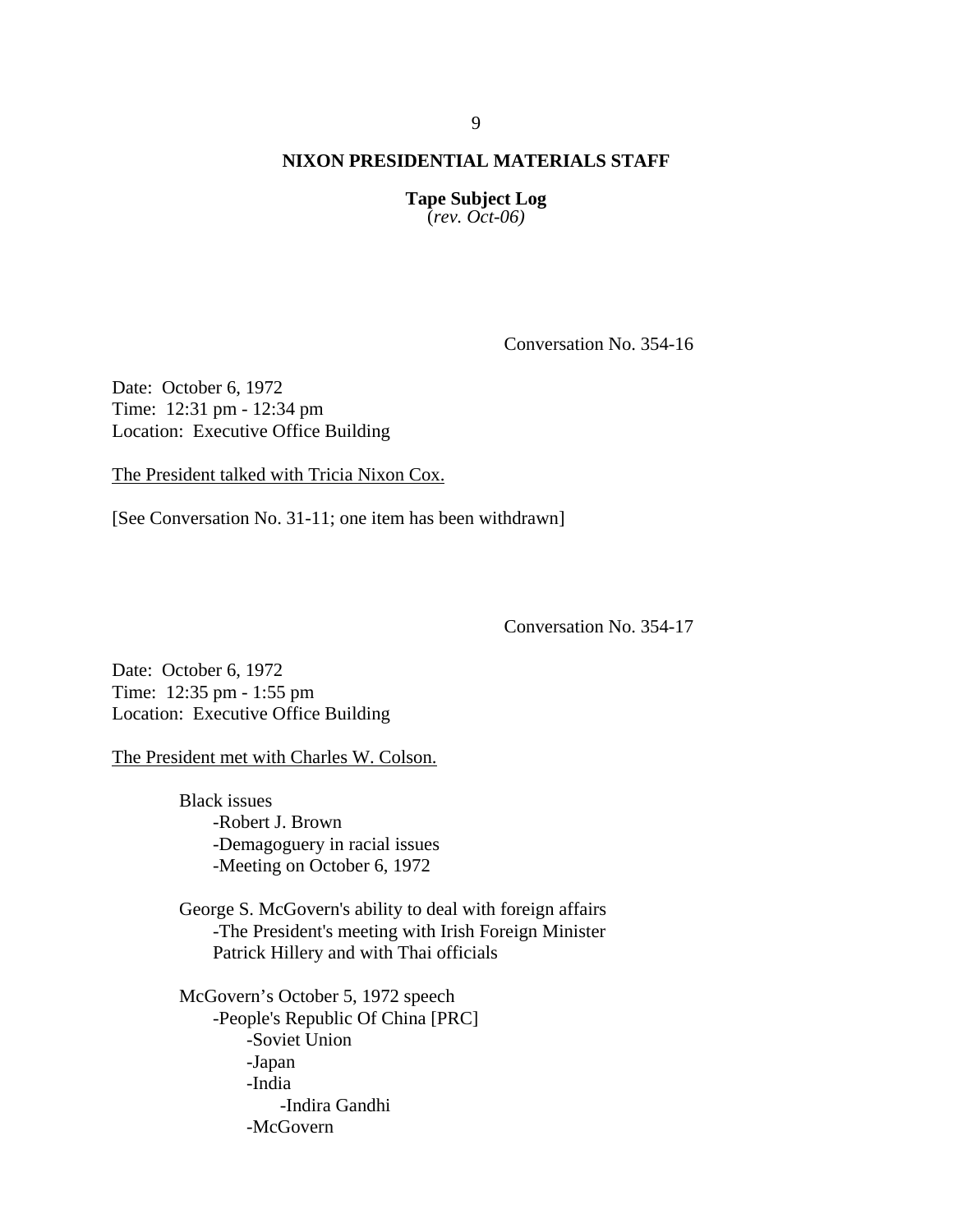**Tape Subject Log** (*rev. Oct-06)*

Conversation No. 354-16

Date: October 6, 1972 Time: 12:31 pm - 12:34 pm Location: Executive Office Building

The President talked with Tricia Nixon Cox.

[See Conversation No. 31-11; one item has been withdrawn]

Conversation No. 354-17

Date: October 6, 1972 Time: 12:35 pm - 1:55 pm Location: Executive Office Building

The President met with Charles W. Colson.

Black issues -Robert J. Brown -Demagoguery in racial issues -Meeting on October 6, 1972

George S. McGovern's ability to deal with foreign affairs -The President's meeting with Irish Foreign Minister Patrick Hillery and with Thai officials

McGovern's October 5, 1972 speech -People's Republic Of China [PRC] -Soviet Union -Japan -India -Indira Gandhi -McGovern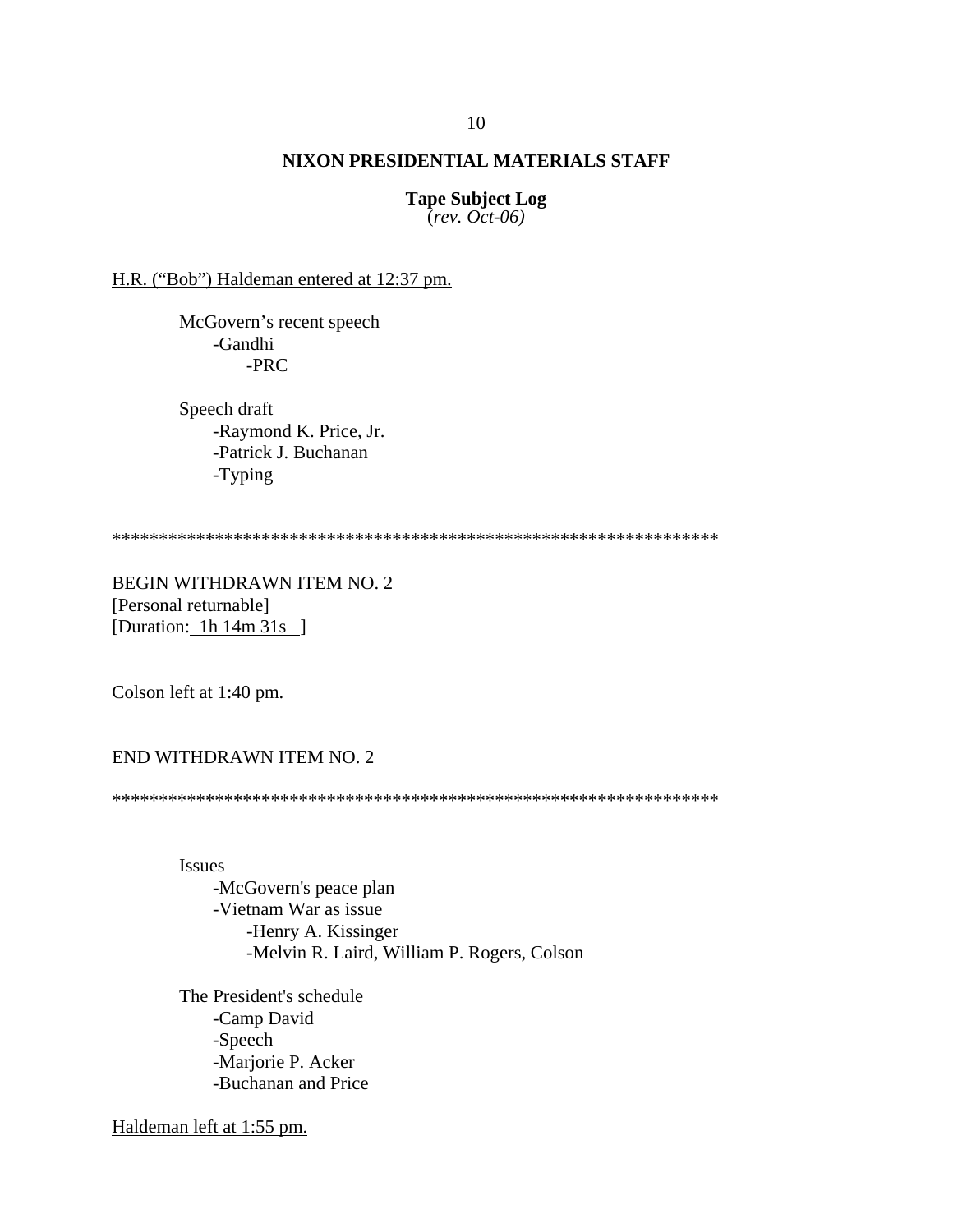**Tape Subject Log** (*rev. Oct-06)*

H.R. ("Bob") Haldeman entered at 12:37 pm.

 McGovern's recent speech -Gandhi -PRC

Speech draft -Raymond K. Price, Jr. -Patrick J. Buchanan -Typing

\*\*\*\*\*\*\*\*\*\*\*\*\*\*\*\*\*\*\*\*\*\*\*\*\*\*\*\*\*\*\*\*\*\*\*\*\*\*\*\*\*\*\*\*\*\*\*\*\*\*\*\*\*\*\*\*\*\*\*\*\*\*\*\*\*

BEGIN WITHDRAWN ITEM NO. 2 [Personal returnable] [Duration: 1h 14m 31s ]

Colson left at 1:40 pm.

END WITHDRAWN ITEM NO. 2

\*\*\*\*\*\*\*\*\*\*\*\*\*\*\*\*\*\*\*\*\*\*\*\*\*\*\*\*\*\*\*\*\*\*\*\*\*\*\*\*\*\*\*\*\*\*\*\*\*\*\*\*\*\*\*\*\*\*\*\*\*\*\*\*\*

Issues -McGovern's peace plan -Vietnam War as issue -Henry A. Kissinger -Melvin R. Laird, William P. Rogers, Colson

The President's schedule -Camp David -Speech -Marjorie P. Acker -Buchanan and Price

Haldeman left at 1:55 pm.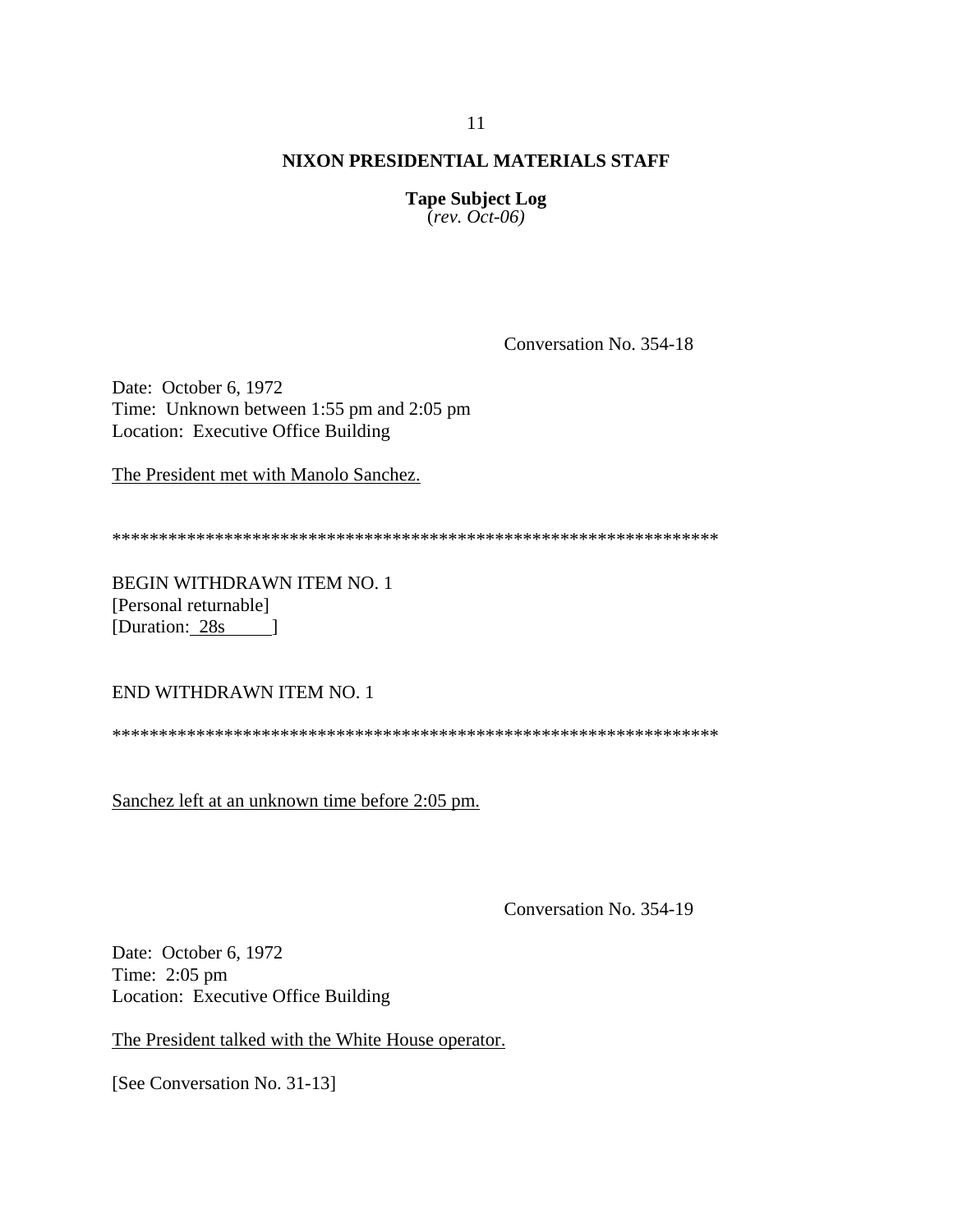**Tape Subject Log**  $(rev. Oct-06)$ 

Conversation No. 354-18

Date: October 6, 1972 Time: Unknown between 1:55 pm and 2:05 pm Location: Executive Office Building

The President met with Manolo Sanchez.

BEGIN WITHDRAWN ITEM NO. 1 [Personal returnable] [Duration: 28s ]

END WITHDRAWN ITEM NO. 1

Sanchez left at an unknown time before 2:05 pm.

Conversation No. 354-19

Date: October 6, 1972 Time: 2:05 pm Location: Executive Office Building

The President talked with the White House operator.

[See Conversation No. 31-13]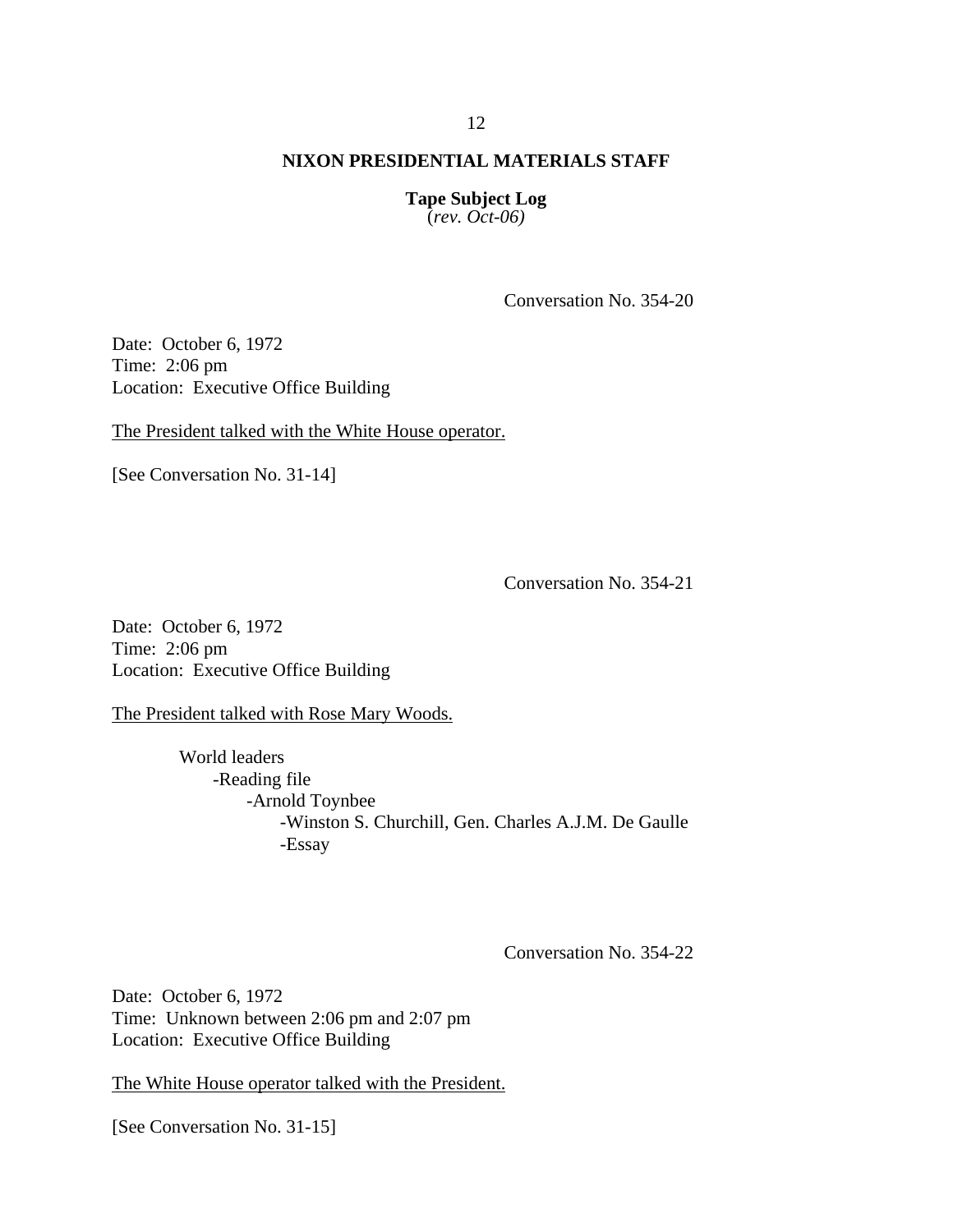**Tape Subject Log** (*rev. Oct-06)*

Conversation No. 354-20

Date: October 6, 1972 Time: 2:06 pm Location: Executive Office Building

The President talked with the White House operator.

[See Conversation No. 31-14]

Conversation No. 354-21

Date: October 6, 1972 Time: 2:06 pm Location: Executive Office Building

The President talked with Rose Mary Woods.

World leaders -Reading file -Arnold Toynbee -Winston S. Churchill, Gen. Charles A.J.M. De Gaulle -Essay

Conversation No. 354-22

Date: October 6, 1972 Time: Unknown between 2:06 pm and 2:07 pm Location: Executive Office Building

The White House operator talked with the President.

[See Conversation No. 31-15]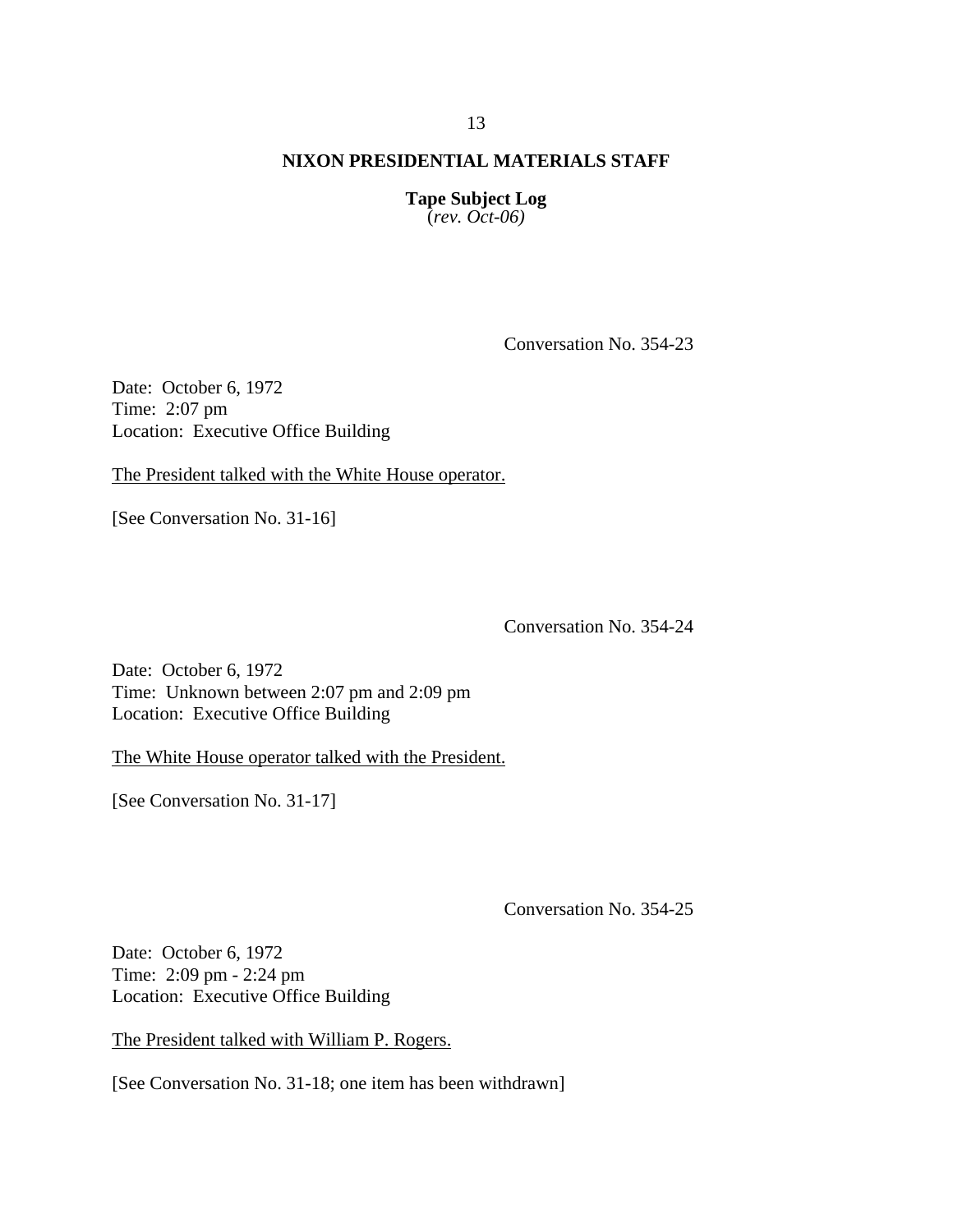**Tape Subject Log** (*rev. Oct-06)*

Conversation No. 354-23

Date: October 6, 1972 Time: 2:07 pm Location: Executive Office Building

The President talked with the White House operator.

[See Conversation No. 31-16]

Conversation No. 354-24

Date: October 6, 1972 Time: Unknown between 2:07 pm and 2:09 pm Location: Executive Office Building

The White House operator talked with the President.

[See Conversation No. 31-17]

Conversation No. 354-25

Date: October 6, 1972 Time: 2:09 pm - 2:24 pm Location: Executive Office Building

The President talked with William P. Rogers.

[See Conversation No. 31-18; one item has been withdrawn]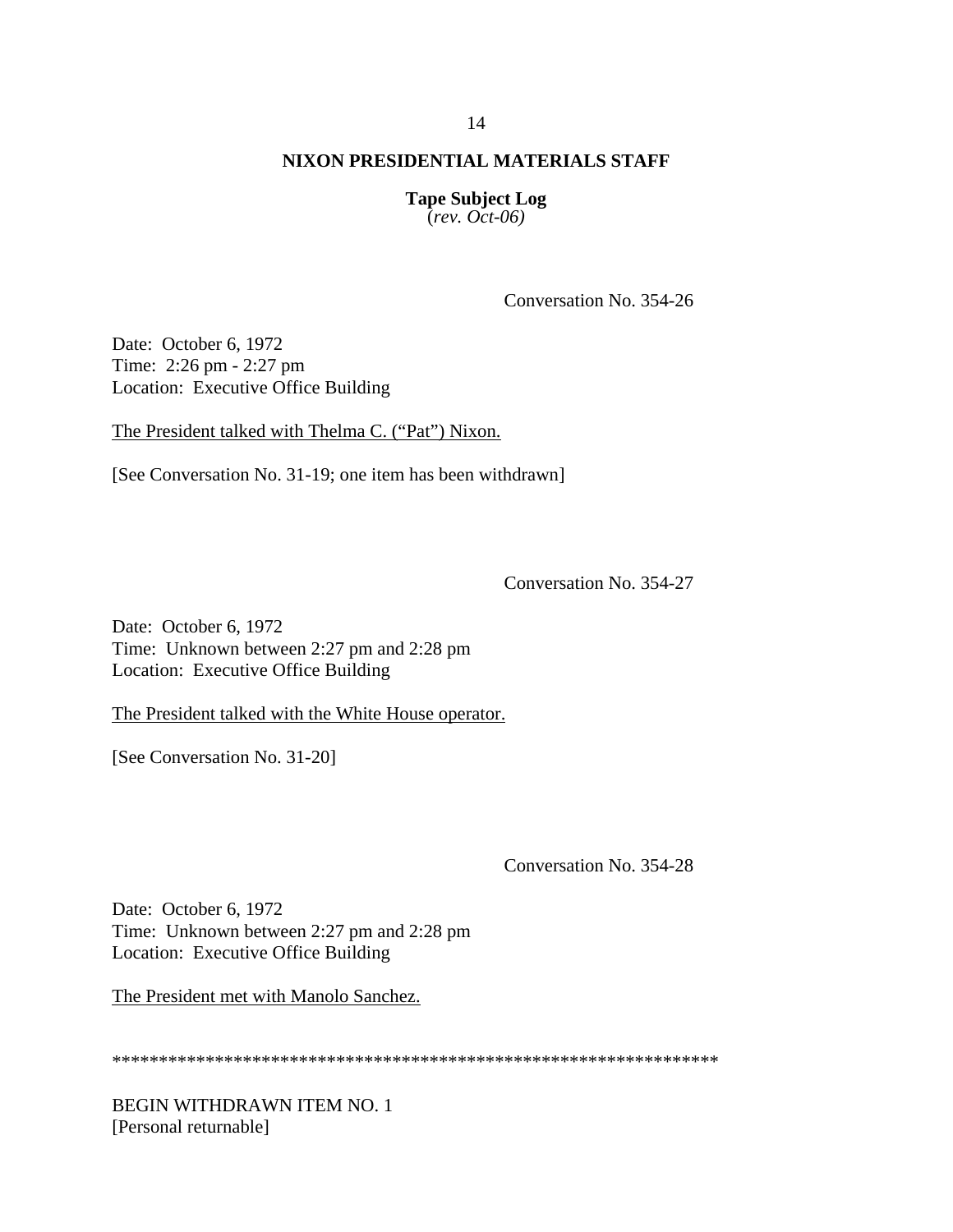**Tape Subject Log** (*rev. Oct-06)*

Conversation No. 354-26

Date: October 6, 1972 Time: 2:26 pm - 2:27 pm Location: Executive Office Building

The President talked with Thelma C. ("Pat") Nixon.

[See Conversation No. 31-19; one item has been withdrawn]

Conversation No. 354-27

Date: October 6, 1972 Time: Unknown between 2:27 pm and 2:28 pm Location: Executive Office Building

The President talked with the White House operator.

[See Conversation No. 31-20]

Conversation No. 354-28

Date: October 6, 1972 Time: Unknown between 2:27 pm and 2:28 pm Location: Executive Office Building

The President met with Manolo Sanchez.

\*\*\*\*\*\*\*\*\*\*\*\*\*\*\*\*\*\*\*\*\*\*\*\*\*\*\*\*\*\*\*\*\*\*\*\*\*\*\*\*\*\*\*\*\*\*\*\*\*\*\*\*\*\*\*\*\*\*\*\*\*\*\*\*\*

BEGIN WITHDRAWN ITEM NO. 1 [Personal returnable]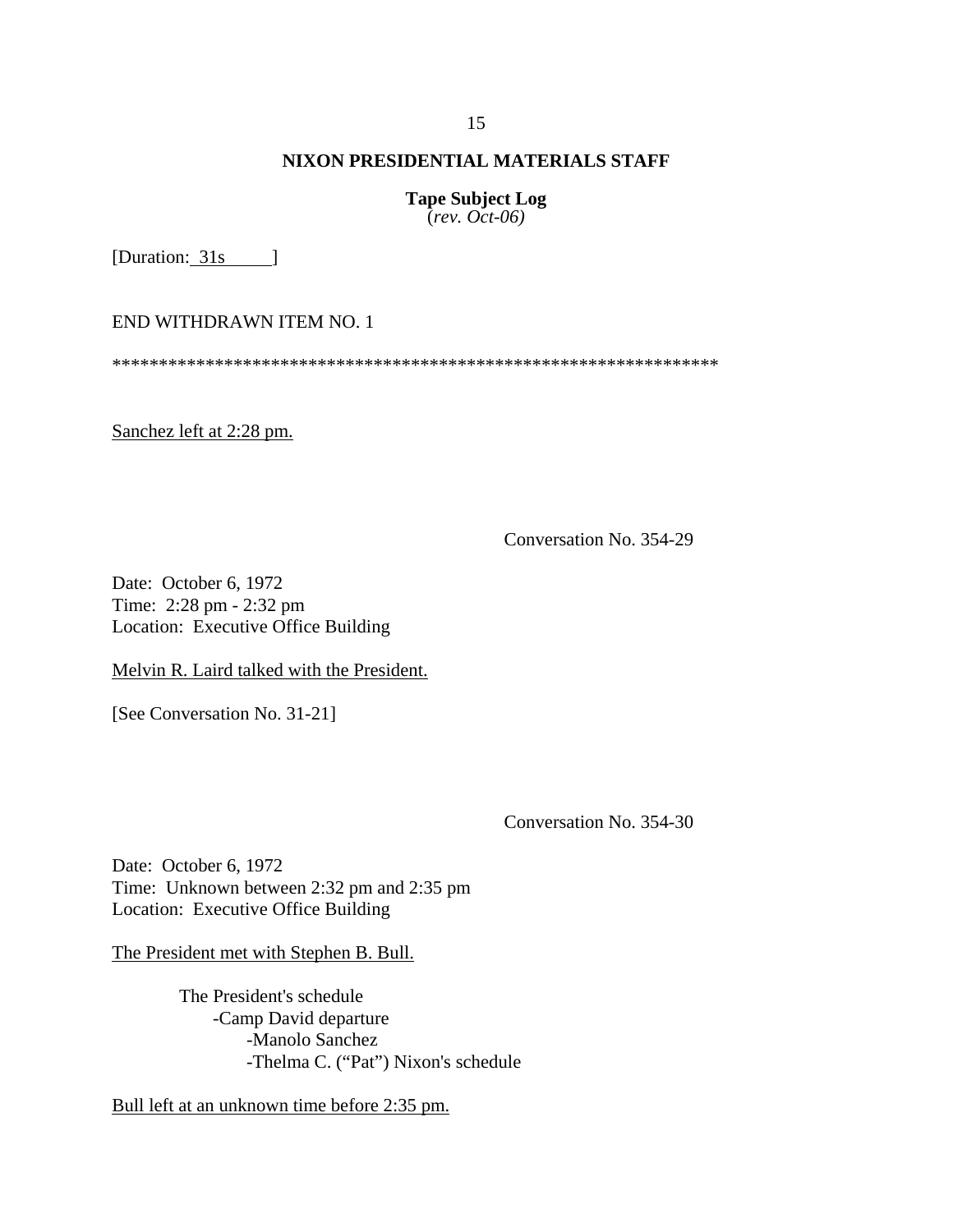**Tape Subject Log** (*rev. Oct-06)*

[Duration: 31s ]

END WITHDRAWN ITEM NO. 1

\*\*\*\*\*\*\*\*\*\*\*\*\*\*\*\*\*\*\*\*\*\*\*\*\*\*\*\*\*\*\*\*\*\*\*\*\*\*\*\*\*\*\*\*\*\*\*\*\*\*\*\*\*\*\*\*\*\*\*\*\*\*\*\*\*

Sanchez left at 2:28 pm.

Conversation No. 354-29

Date: October 6, 1972 Time: 2:28 pm - 2:32 pm Location: Executive Office Building

Melvin R. Laird talked with the President.

[See Conversation No. 31-21]

Conversation No. 354-30

Date: October 6, 1972 Time: Unknown between 2:32 pm and 2:35 pm Location: Executive Office Building

The President met with Stephen B. Bull.

The President's schedule -Camp David departure -Manolo Sanchez -Thelma C. ("Pat") Nixon's schedule

Bull left at an unknown time before 2:35 pm.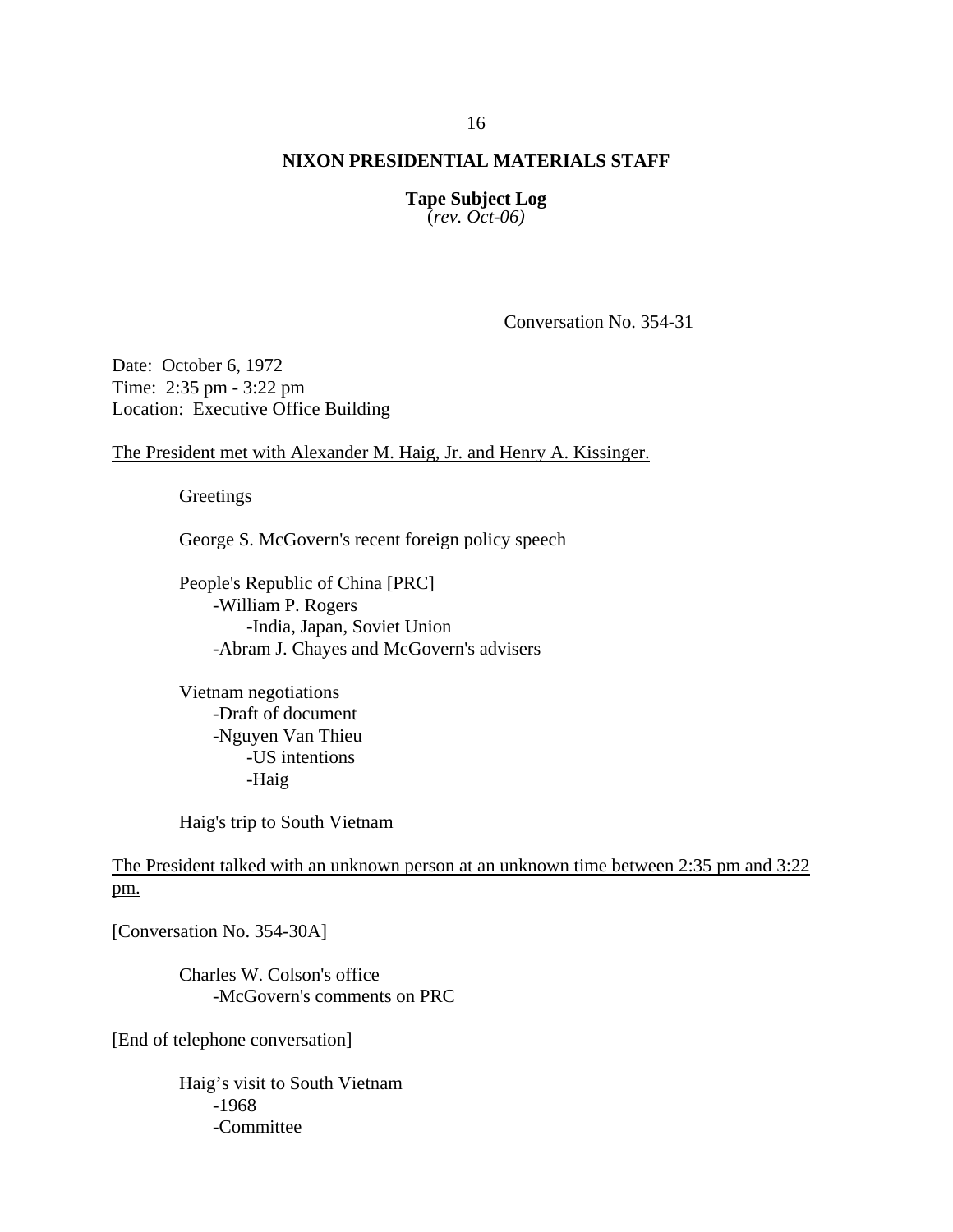**Tape Subject Log** (*rev. Oct-06)*

Conversation No. 354-31

Date: October 6, 1972 Time: 2:35 pm - 3:22 pm Location: Executive Office Building

The President met with Alexander M. Haig, Jr. and Henry A. Kissinger.

Greetings

George S. McGovern's recent foreign policy speech

People's Republic of China [PRC] -William P. Rogers -India, Japan, Soviet Union -Abram J. Chayes and McGovern's advisers

Vietnam negotiations -Draft of document -Nguyen Van Thieu -US intentions -Haig

Haig's trip to South Vietnam

The President talked with an unknown person at an unknown time between 2:35 pm and 3:22 pm.

[Conversation No. 354-30A]

Charles W. Colson's office -McGovern's comments on PRC

[End of telephone conversation]

Haig's visit to South Vietnam -1968 -Committee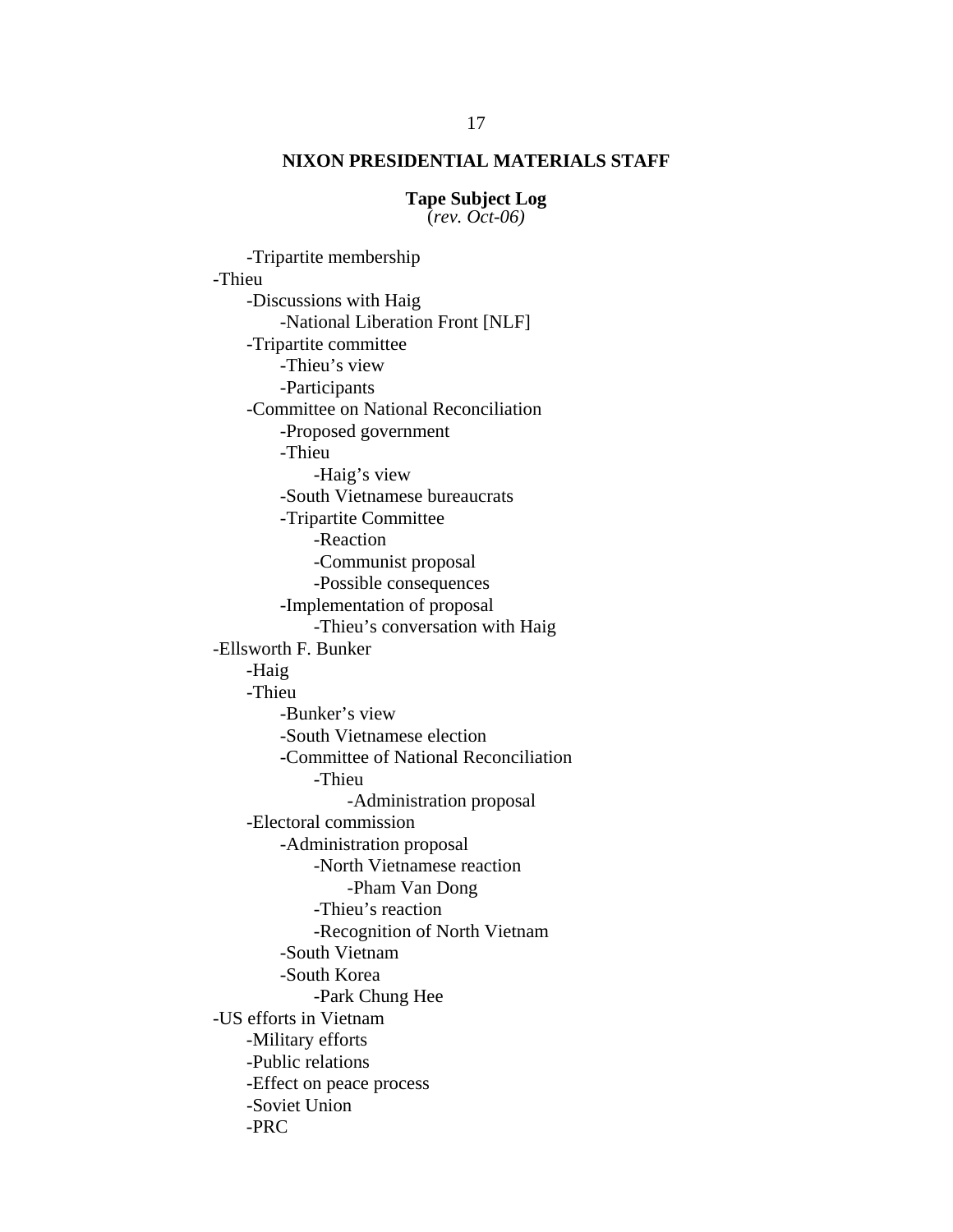**Tape Subject Log** (*rev. Oct-06)*

-Tripartite membership -Thieu -Discussions with Haig -National Liberation Front [NLF] -Tripartite committee -Thieu's view -Participants -Committee on National Reconciliation -Proposed government -Thieu -Haig's view -South Vietnamese bureaucrats -Tripartite Committee -Reaction -Communist proposal -Possible consequences -Implementation of proposal -Thieu's conversation with Haig -Ellsworth F. Bunker -Haig -Thieu -Bunker's view -South Vietnamese election -Committee of National Reconciliation -Thieu -Administration proposal -Electoral commission -Administration proposal -North Vietnamese reaction -Pham Van Dong -Thieu's reaction -Recognition of North Vietnam -South Vietnam -South Korea -Park Chung Hee -US efforts in Vietnam -Military efforts -Public relations -Effect on peace process -Soviet Union -PRC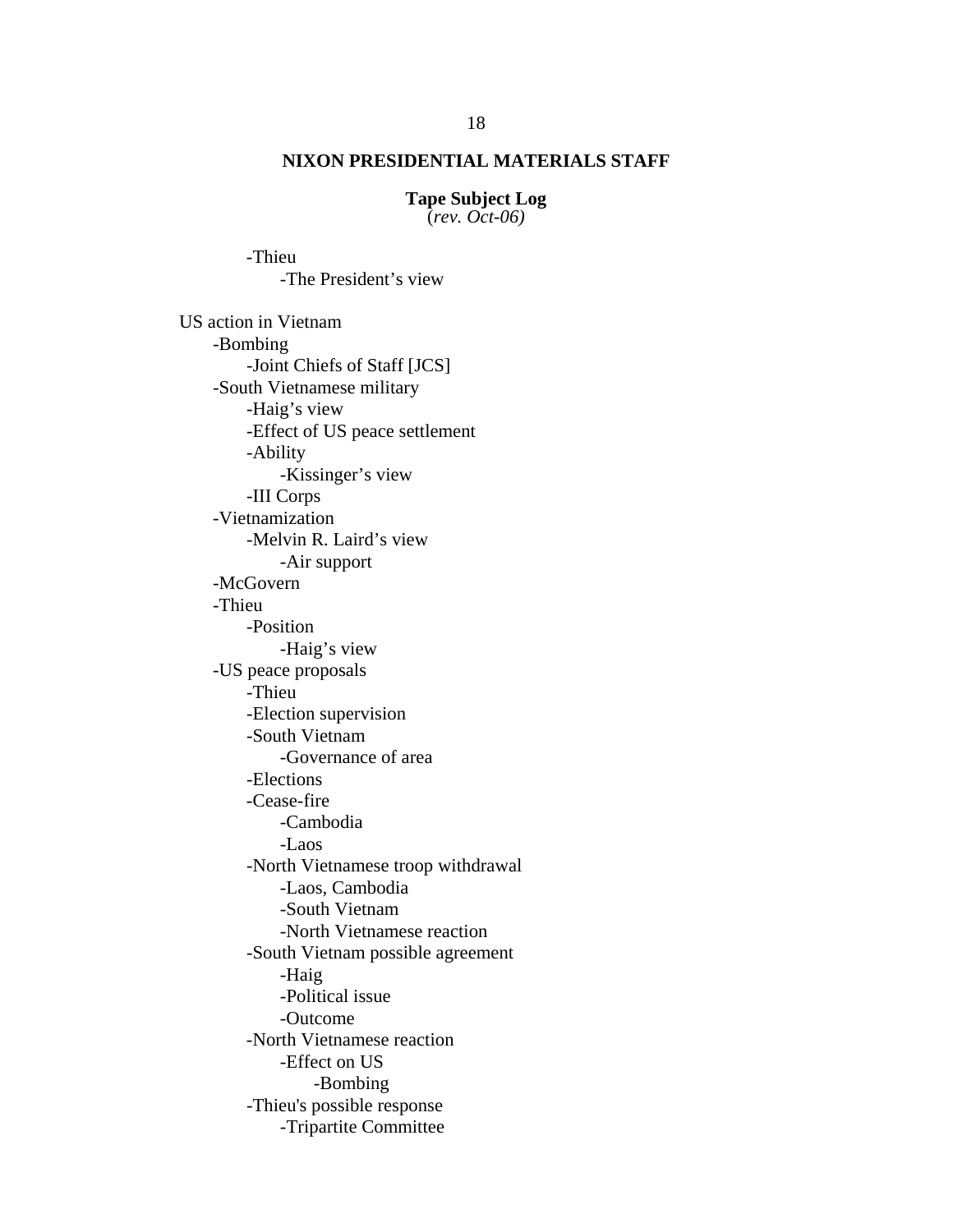**Tape Subject Log** (*rev. Oct-06)*

 -The President's view US action in Vietnam -Bombing -Joint Chiefs of Staff [JCS] -South Vietnamese military -Haig's view -Effect of US peace settlement -Ability -Kissinger's view -III Corps -Vietnamization -Melvin R. Laird's view -Air support -McGovern -Thieu -Position -Haig's view -US peace proposals -Thieu -Election supervision -South Vietnam -Governance of area -Elections -Cease-fire -Cambodia -Laos -North Vietnamese troop withdrawal -Laos, Cambodia -South Vietnam -North Vietnamese reaction -South Vietnam possible agreement -Haig -Political issue -Outcome -North Vietnamese reaction -Effect on US -Bombing -Thieu's possible response -Tripartite Committee

-Thieu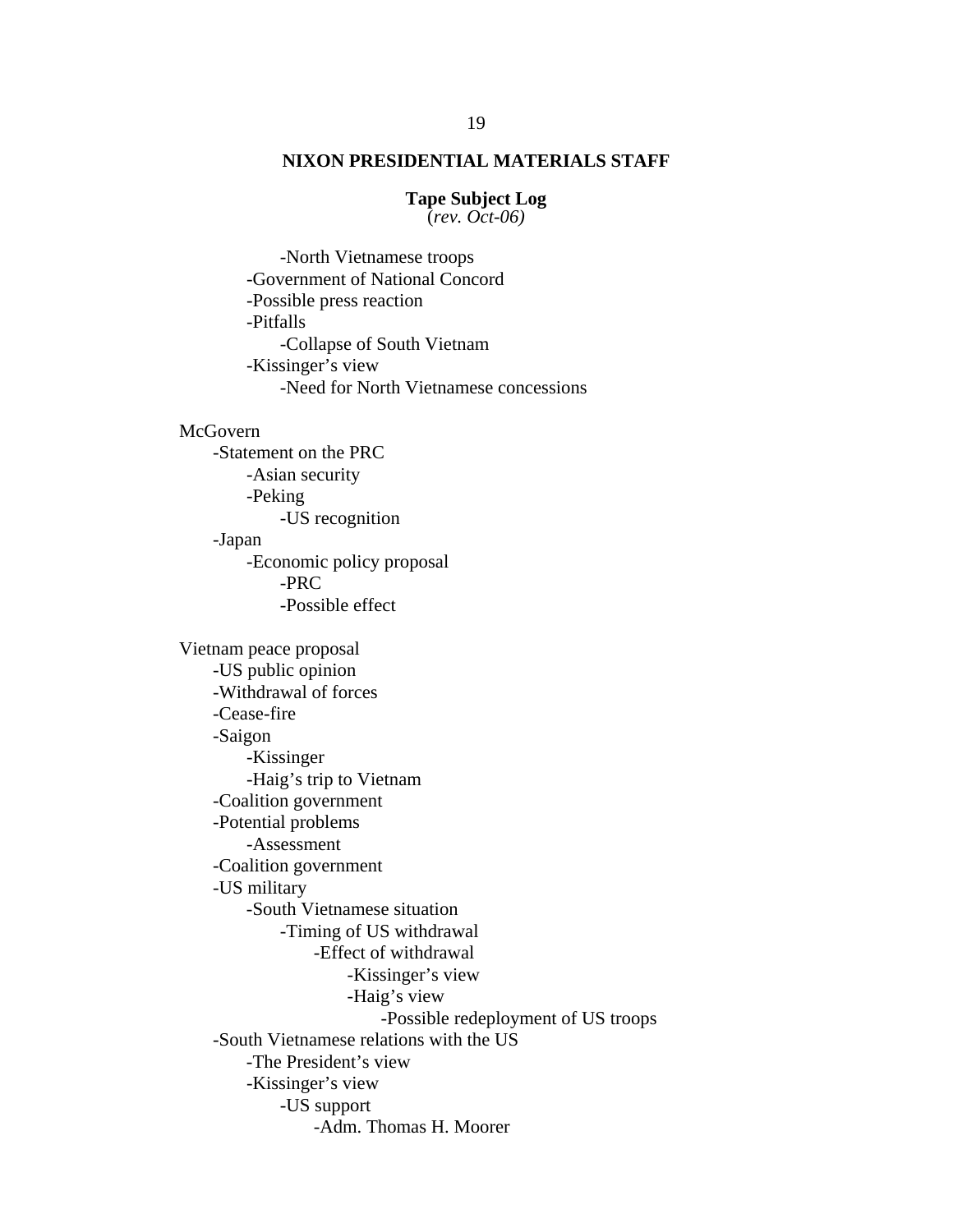### **Tape Subject Log**

(*rev. Oct-06)*

 -North Vietnamese troops -Government of National Concord -Possible press reaction -Pitfalls -Collapse of South Vietnam -Kissinger's view -Need for North Vietnamese concessions

#### **McGovern**

-Statement on the PRC -Asian security -Peking -US recognition -Japan -Economic policy proposal -PRC -Possible effect

Vietnam peace proposal -US public opinion -Withdrawal of forces -Cease-fire -Saigon -Kissinger -Haig's trip to Vietnam -Coalition government -Potential problems -Assessment -Coalition government -US military -South Vietnamese situation -Timing of US withdrawal -Effect of withdrawal -Kissinger's view -Haig's view -Possible redeployment of US troops -South Vietnamese relations with the US -The President's view -Kissinger's view -US support -Adm. Thomas H. Moorer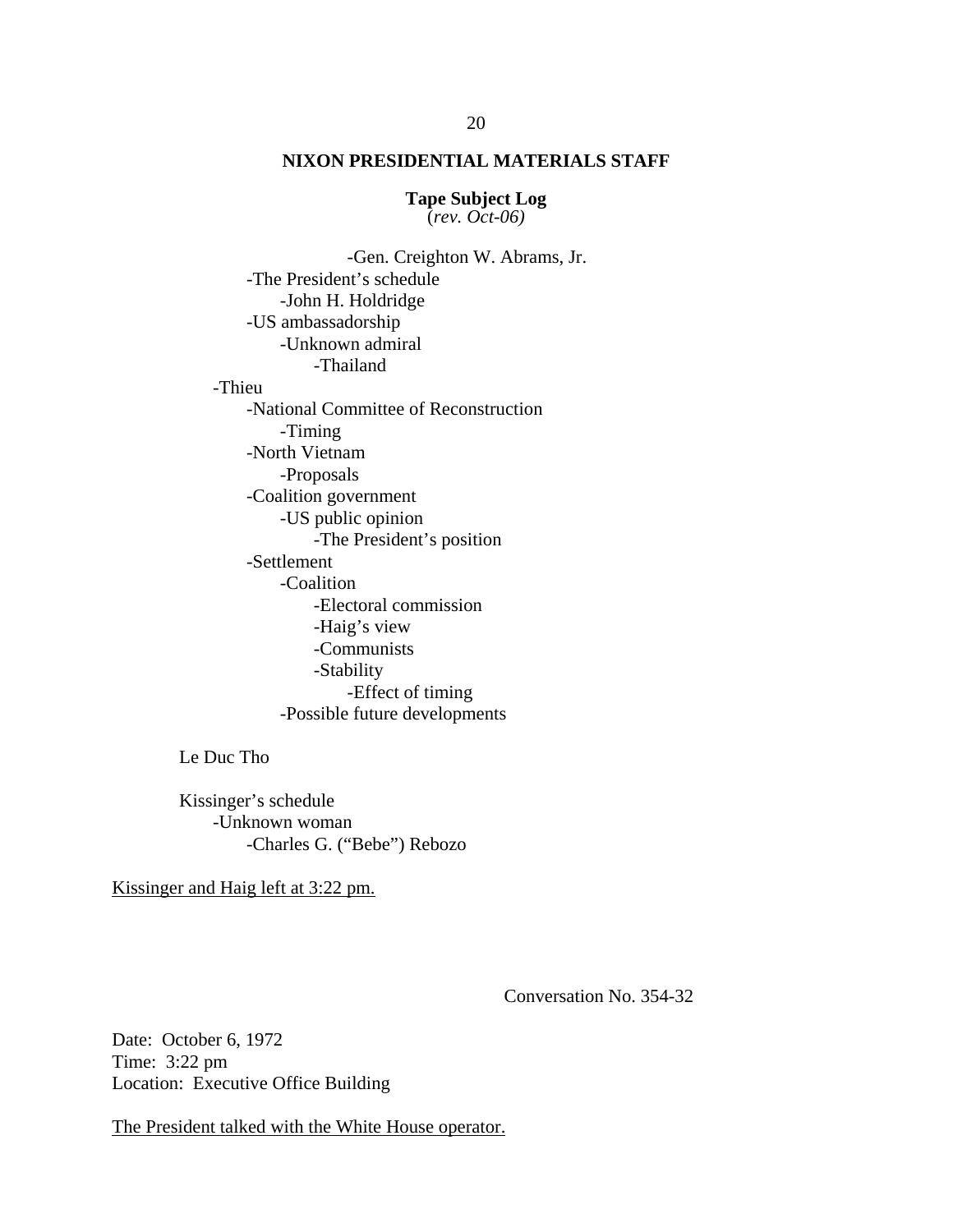**Tape Subject Log** (*rev. Oct-06)*

 -Gen. Creighton W. Abrams, Jr. -The President's schedule -John H. Holdridge -US ambassadorship -Unknown admiral -Thailand -Thieu -National Committee of Reconstruction -Timing -North Vietnam -Proposals -Coalition government -US public opinion -The President's position -Settlement -Coalition -Electoral commission -Haig's view -Communists -Stability -Effect of timing -Possible future developments

Le Duc Tho

Kissinger's schedule -Unknown woman -Charles G. ("Bebe") Rebozo

Kissinger and Haig left at 3:22 pm.

Conversation No. 354-32

Date: October 6, 1972 Time: 3:22 pm Location: Executive Office Building

The President talked with the White House operator.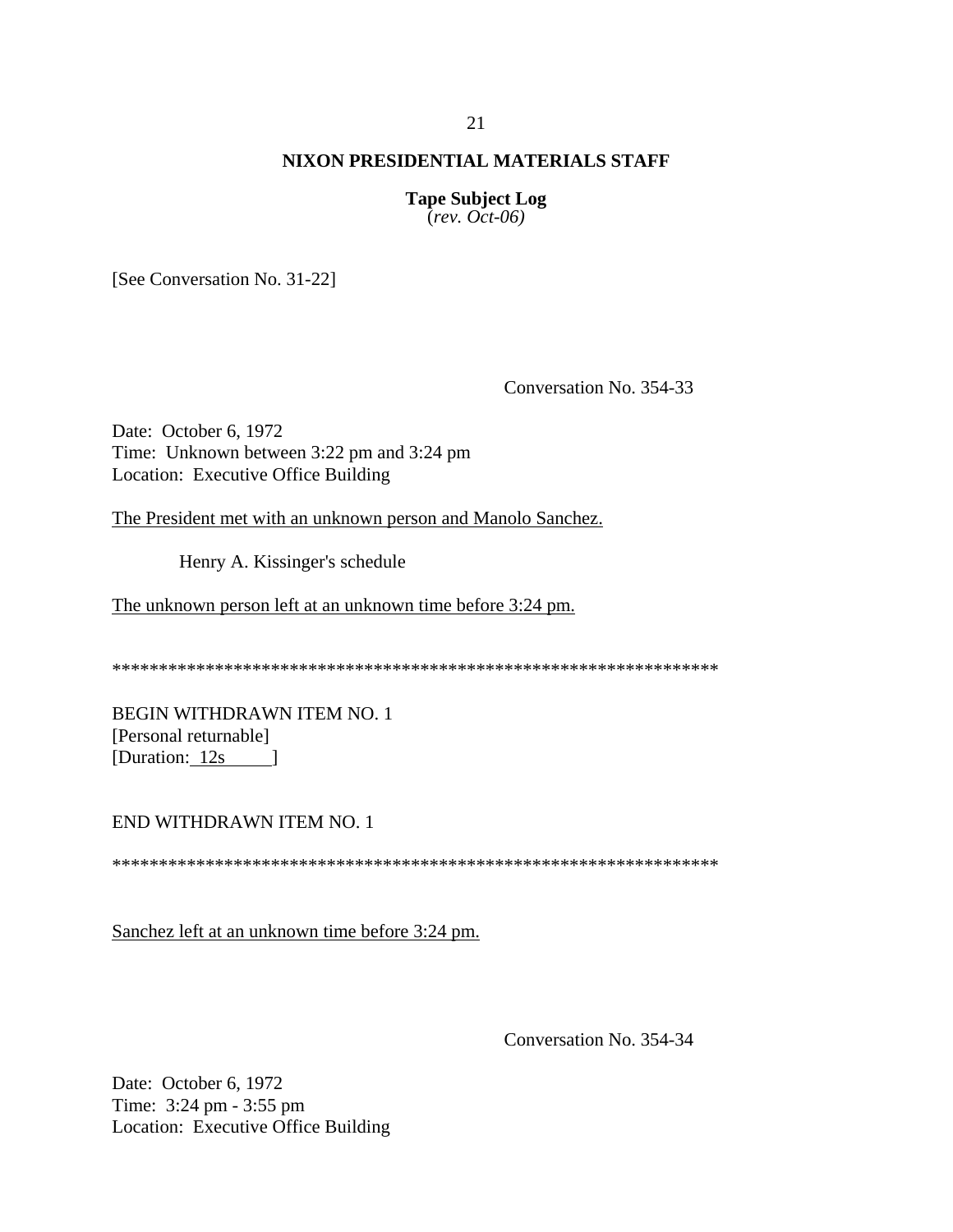**Tape Subject Log**  $\text{(\textit{rev. Oct-06})}$ 

[See Conversation No. 31-22]

Conversation No. 354-33

Date: October 6, 1972 Time: Unknown between 3:22 pm and 3:24 pm Location: Executive Office Building

The President met with an unknown person and Manolo Sanchez.

Henry A. Kissinger's schedule

The unknown person left at an unknown time before 3:24 pm.

**BEGIN WITHDRAWN ITEM NO. 1** [Personal returnable] [Duration: 12s ]

#### END WITHDRAWN ITEM NO. 1

Sanchez left at an unknown time before 3:24 pm.

Conversation No. 354-34

Date: October 6, 1972 Time: 3:24 pm - 3:55 pm Location: Executive Office Building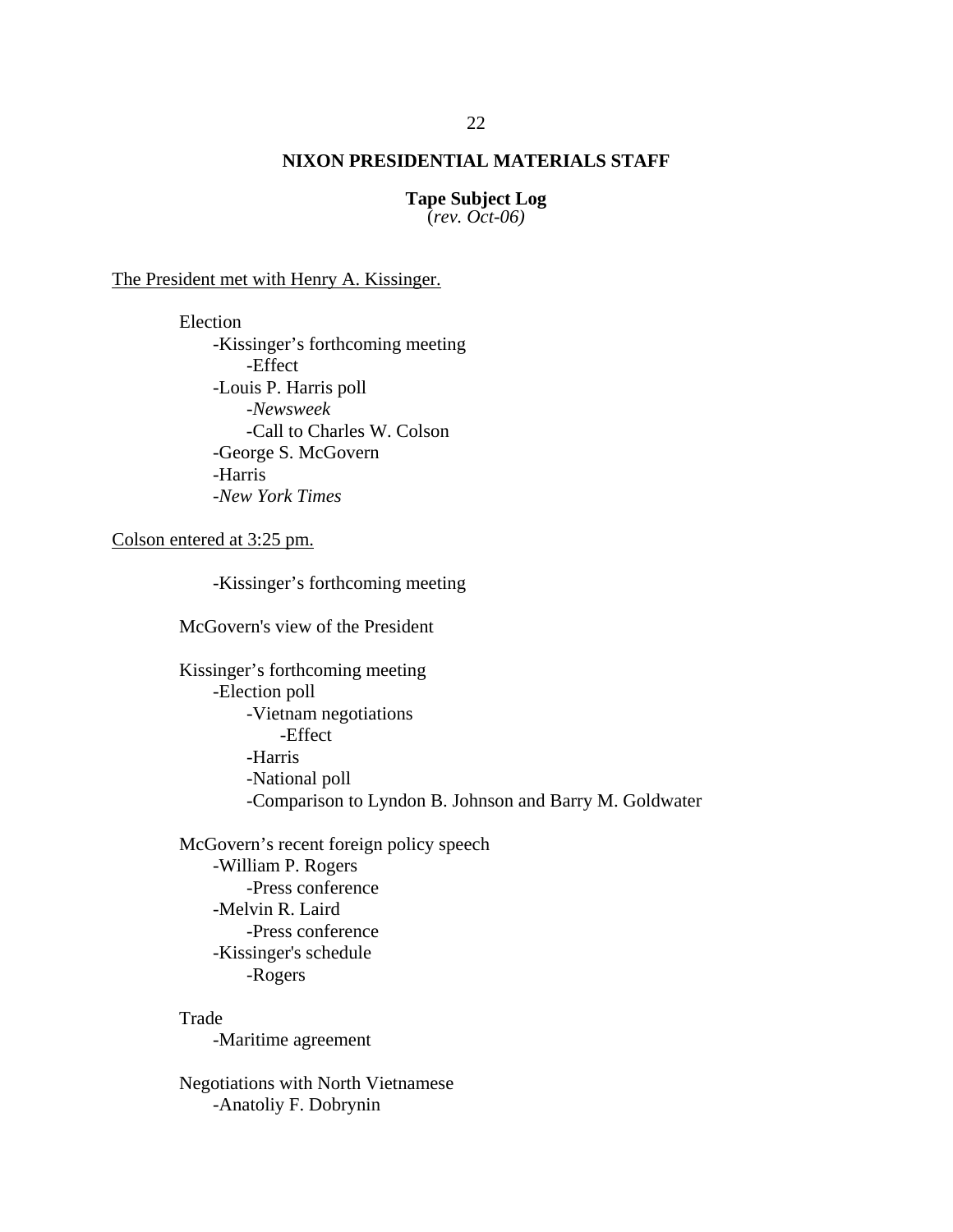**Tape Subject Log** (*rev. Oct-06)*

The President met with Henry A. Kissinger.

Election -Kissinger's forthcoming meeting -Effect -Louis P. Harris poll -*Newsweek* -Call to Charles W. Colson -George S. McGovern -Harris *-New York Times* 

Colson entered at 3:25 pm.

-Kissinger's forthcoming meeting

McGovern's view of the President

Kissinger's forthcoming meeting -Election poll -Vietnam negotiations -Effect -Harris -National poll -Comparison to Lyndon B. Johnson and Barry M. Goldwater

McGovern's recent foreign policy speech -William P. Rogers -Press conference -Melvin R. Laird -Press conference -Kissinger's schedule -Rogers

Trade -Maritime agreement

Negotiations with North Vietnamese -Anatoliy F. Dobrynin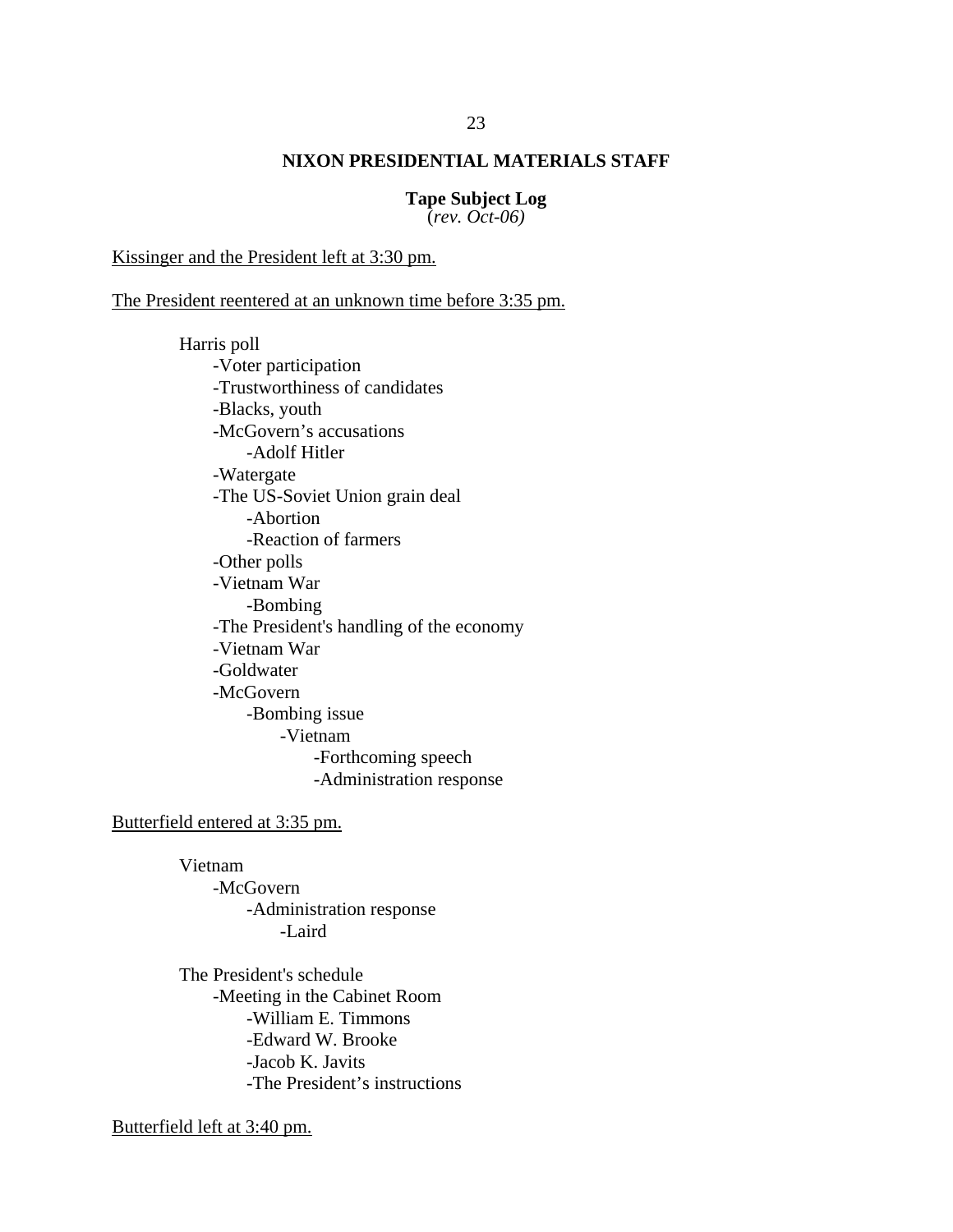**Tape Subject Log** (*rev. Oct-06)*

Kissinger and the President left at 3:30 pm.

The President reentered at an unknown time before 3:35 pm.

Harris poll -Voter participation -Trustworthiness of candidates -Blacks, youth -McGovern's accusations -Adolf Hitler -Watergate -The US-Soviet Union grain deal -Abortion -Reaction of farmers -Other polls -Vietnam War -Bombing -The President's handling of the economy -Vietnam War -Goldwater -McGovern -Bombing issue -Vietnam -Forthcoming speech -Administration response

Butterfield entered at 3:35 pm.

Vietnam -McGovern -Administration response -Laird

The President's schedule -Meeting in the Cabinet Room -William E. Timmons -Edward W. Brooke -Jacob K. Javits -The President's instructions

Butterfield left at 3:40 pm.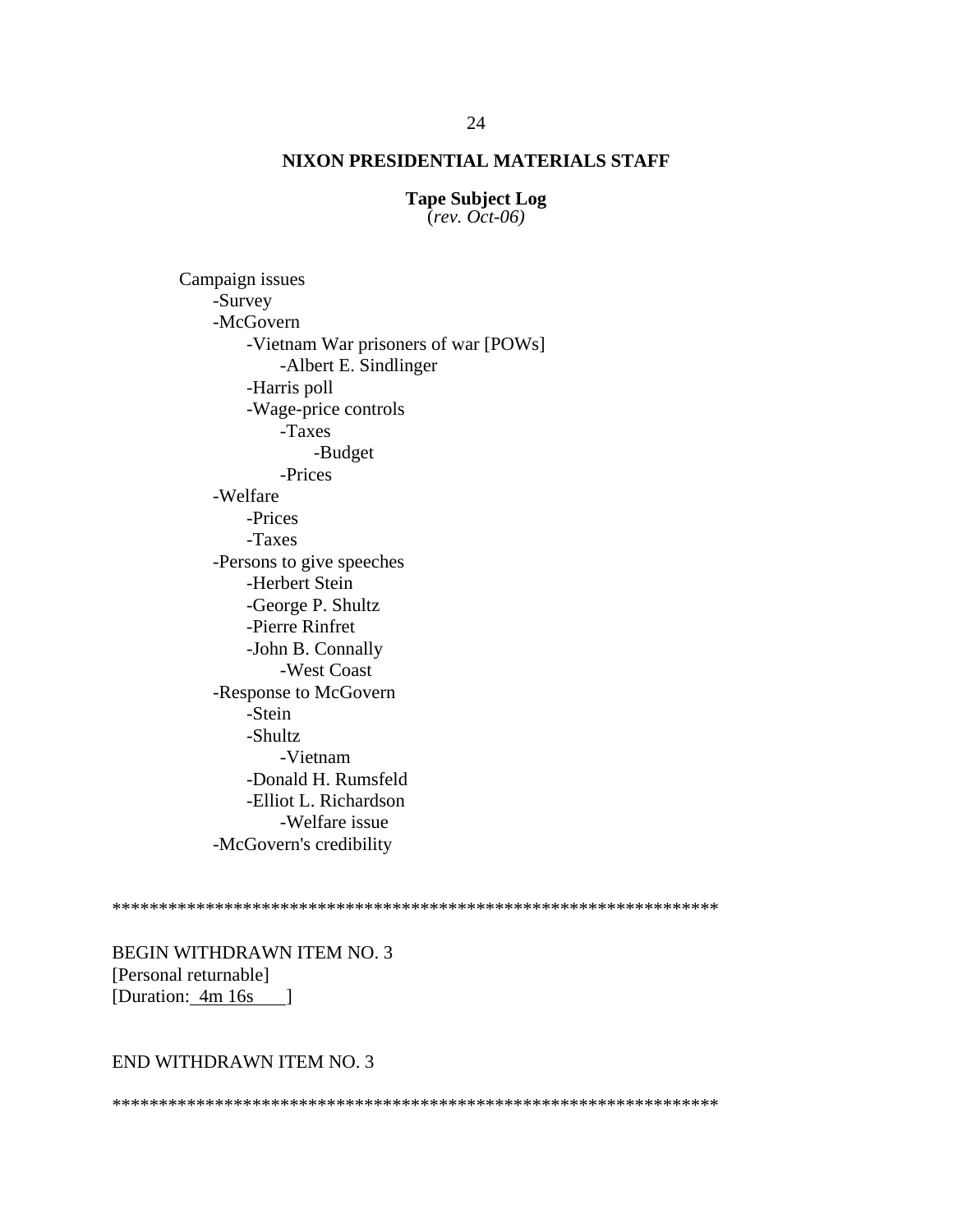**Tape Subject Log** (*rev. Oct-06)*

Campaign issues -Survey -McGovern -Vietnam War prisoners of war [POWs] -Albert E. Sindlinger -Harris poll -Wage-price controls -Taxes -Budget -Prices -Welfare -Prices -Taxes -Persons to give speeches -Herbert Stein -George P. Shultz -Pierre Rinfret -John B. Connally -West Coast -Response to McGovern -Stein -Shultz -Vietnam -Donald H. Rumsfeld -Elliot L. Richardson -Welfare issue -McGovern's credibility

\*\*\*\*\*\*\*\*\*\*\*\*\*\*\*\*\*\*\*\*\*\*\*\*\*\*\*\*\*\*\*\*\*\*\*\*\*\*\*\*\*\*\*\*\*\*\*\*\*\*\*\*\*\*\*\*\*\*\*\*\*\*\*\*\*

BEGIN WITHDRAWN ITEM NO. 3 [Personal returnable] [Duration: 4m 16s ]

END WITHDRAWN ITEM NO. 3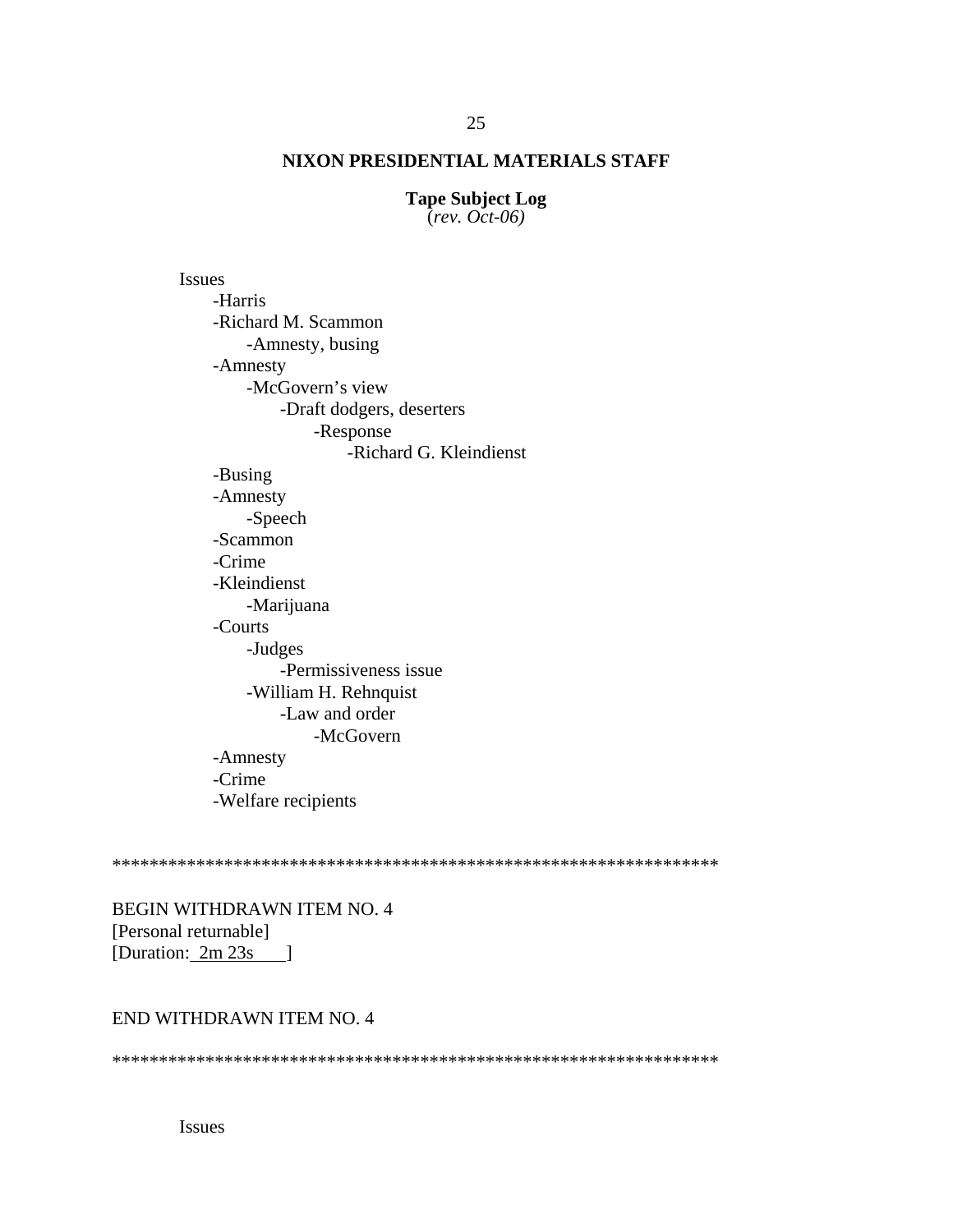**Tape Subject Log**  $\text{(\textit{rev. Oct-06})}$ 

**Issues** -Harris -Richard M. Scammon -Amnesty, busing -Amnesty -McGovern's view -Draft dodgers, deserters -Response -Richard G. Kleindienst -Busing -Amnesty -Speech -Scammon -Crime -Kleindienst -Marijuana -Courts -Judges -Permissiveness issue -William H. Rehnquist -Law and order -McGovern -Amnesty -Crime -Welfare recipients

**BEGIN WITHDRAWN ITEM NO. 4** [Personal returnable] [Duration:  $2m 23s$  ]

### END WITHDRAWN ITEM NO. 4

**Issues**